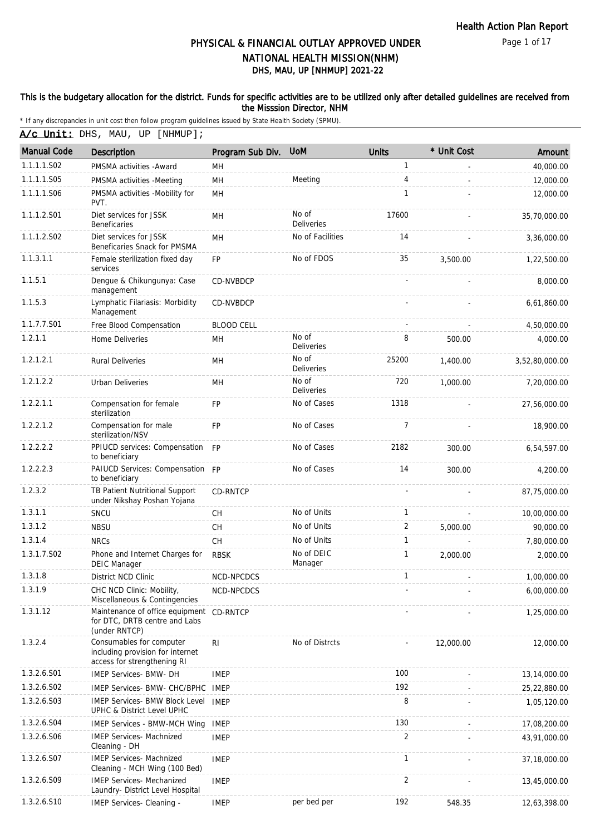Page 1 of 17

### DHS, MAU, UP [NHMUP] 2021-22 PHYSICAL & FINANCIAL OUTLAY APPROVED UNDER NATIONAL HEALTH MISSION(NHM)

#### This is the budgetary allocation for the district. Funds for specific activities are to be utilized only after detailed guidelines are received from the Misssion Director, NHM

\* If any discrepancies in unit cost then follow program guidelines issued by State Health Society (SPMU).

A/c Unit: DHS, MAU, UP [NHMUP];

| <b>Manual Code</b> | <b>Description</b>                                                                          | Program Sub Div.  | <b>UoM</b>                 | <b>Units</b> | * Unit Cost | Amount         |
|--------------------|---------------------------------------------------------------------------------------------|-------------------|----------------------------|--------------|-------------|----------------|
| 1.1.1.1.S02        | PMSMA activities - Award                                                                    | MН                |                            | 1            |             | 40,000.00      |
| 1.1.1.1.S05        | PMSMA activities -Meeting                                                                   | <b>MH</b>         | Meeting                    | 4            |             | 12,000.00      |
| 1.1.1.1.S06        | PMSMA activities -Mobility for<br>PVT.                                                      | MH                |                            | $\mathbf{1}$ |             | 12,000.00      |
| 1.1.1.2.S01        | Diet services for JSSK<br>Beneficaries                                                      | MH                | No of<br>Deliveries        | 17600        |             | 35,70,000.00   |
| 1.1.1.2.S02        | Diet services for JSSK<br>Beneficaries Snack for PMSMA                                      | MH                | No of Facilities           | 14           |             | 3,36,000.00    |
| 1.1.3.1.1          | Female sterilization fixed day<br>services                                                  | <b>FP</b>         | No of FDOS                 | 35           | 3,500.00    | 1,22,500.00    |
| 1.1.5.1            | Dengue & Chikungunya: Case<br>management                                                    | <b>CD-NVBDCP</b>  |                            |              |             | 8,000.00       |
| 1.1.5.3            | Lymphatic Filariasis: Morbidity<br>Management                                               | CD-NVBDCP         |                            |              |             | 6,61,860.00    |
| 1.1.7.7.S01        | Free Blood Compensation                                                                     | <b>BLOOD CELL</b> |                            |              |             | 4,50,000.00    |
| 1.2.1.1            | <b>Home Deliveries</b>                                                                      | MН                | No of<br><b>Deliveries</b> | 8            | 500.00      | 4,000.00       |
| 1.2.1.2.1          | <b>Rural Deliveries</b>                                                                     | MH                | No of<br>Deliveries        | 25200        | 1,400.00    | 3,52,80,000.00 |
| 1.2.1.2.2          | <b>Urban Deliveries</b>                                                                     | MH                | No of<br>Deliveries        | 720          | 1,000.00    | 7,20,000.00    |
| 1.2.2.1.1          | Compensation for female<br>sterilization                                                    | <b>FP</b>         | No of Cases                | 1318         |             | 27,56,000.00   |
| 1.2.2.1.2          | Compensation for male<br>sterilization/NSV                                                  | <b>FP</b>         | No of Cases                | 7            |             | 18,900.00      |
| 1.2.2.2.2          | PPIUCD services: Compensation<br>to beneficiary                                             | <b>FP</b>         | No of Cases                | 2182         | 300.00      | 6,54,597.00    |
| 1.2.2.2.3          | PAIUCD Services: Compensation FP<br>to beneficiary                                          |                   | No of Cases                | 14           | 300.00      | 4,200.00       |
| 1.2.3.2            | TB Patient Nutritional Support<br>under Nikshay Poshan Yojana                               | CD-RNTCP          |                            |              |             | 87,75,000.00   |
| 1.3.1.1            | SNCU                                                                                        | CH                | No of Units                | 1            |             | 10,00,000.00   |
| 1.3.1.2            | <b>NBSU</b>                                                                                 | <b>CH</b>         | No of Units                | 2            | 5.000.00    | 90,000.00      |
| 1.3.1.4            | <b>NRCs</b>                                                                                 | <b>CH</b>         | No of Units                | 1            |             | 7,80,000.00    |
| 1.3.1.7.S02        | Phone and Internet Charges for<br><b>DEIC Manager</b>                                       | <b>RBSK</b>       | No of DEIC<br>Manager      | 1            | 2.000.00    | 2,000.00       |
| 1.3.1.8            | District NCD Clinic                                                                         | NCD-NPCDCS        |                            | 1            |             | 1,00,000.00    |
| 1.3.1.9            | CHC NCD Clinic: Mobility,<br>Miscellaneous & Contingencies                                  | NCD-NPCDCS        |                            |              |             | 6,00,000.00    |
| 1.3.1.12           | Maintenance of office equipment<br>for DTC, DRTB centre and Labs<br>(under RNTCP)           | CD-RNTCP          |                            |              |             | 1,25,000.00    |
| 1.3.2.4            | Consumables for computer<br>including provision for internet<br>access for strengthening RI | RI                | No of Distrcts             |              | 12,000.00   | 12,000.00      |
| 1.3.2.6.S01        | <b>IMEP Services- BMW- DH</b>                                                               | <b>IMEP</b>       |                            | 100          |             | 13,14,000.00   |
| 1.3.2.6.S02        | IMEP Services- BMW- CHC/BPHC                                                                | IMEP              |                            | 192          |             | 25,22,880.00   |
| 1.3.2.6.S03        | <b>IMEP Services- BMW Block Level</b><br>UPHC & District Level UPHC                         | <b>IMEP</b>       |                            | 8            |             | 1,05,120.00    |
| 1.3.2.6.S04        | <b>IMEP Services - BMW-MCH Wing</b>                                                         | <b>IMEP</b>       |                            | 130          |             | 17,08,200.00   |
| 1.3.2.6.S06        | <b>IMEP Services- Machnized</b><br>Cleaning - DH                                            | <b>IMEP</b>       |                            | 2            |             | 43,91,000.00   |
| 1.3.2.6.S07        | <b>IMEP Services- Machnized</b><br>Cleaning - MCH Wing (100 Bed)                            | <b>IMEP</b>       |                            | 1            |             | 37,18,000.00   |
| 1.3.2.6.S09        | <b>IMEP Services- Mechanized</b><br>Laundry- District Level Hospital                        | <b>IMEP</b>       |                            | 2            |             | 13,45,000.00   |
| 1.3.2.6.S10        | IMEP Services- Cleaning -                                                                   | <b>IMEP</b>       | per bed per                | 192          | 548.35      | 12,63,398.00   |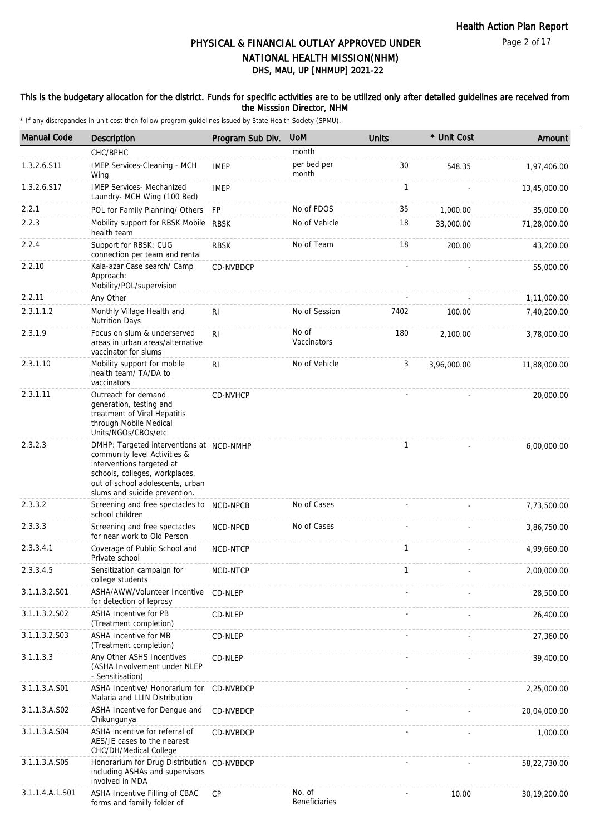### This is the budgetary allocation for the district. Funds for specific activities are to be utilized only after detailed guidelines are received from the Misssion Director, NHM

| <b>Manual Code</b> | <b>Description</b>                                                                                                                                                                                           | Program Sub Div. | <b>UoM</b>              | <b>Units</b> | * Unit Cost | Amount       |
|--------------------|--------------------------------------------------------------------------------------------------------------------------------------------------------------------------------------------------------------|------------------|-------------------------|--------------|-------------|--------------|
|                    | CHC/BPHC                                                                                                                                                                                                     |                  | month                   |              |             |              |
| 1.3.2.6.S11        | IMEP Services-Cleaning - MCH<br>Wing                                                                                                                                                                         | <b>IMEP</b>      | per bed per<br>month    | 30           | 548.35      | 1,97,406.00  |
| 1.3.2.6.S17        | <b>IMEP Services- Mechanized</b><br>Laundry- MCH Wing (100 Bed)                                                                                                                                              | <b>IMEP</b>      |                         | $\mathbf{1}$ |             | 13,45,000.00 |
| 2.2.1              | POL for Family Planning/ Others                                                                                                                                                                              | FP               | No of FDOS              | 35           | 1,000.00    | 35,000.00    |
| 2.2.3              | Mobility support for RBSK Mobile<br>health team                                                                                                                                                              | <b>RBSK</b>      | No of Vehicle           | 18           | 33,000.00   | 71,28,000.00 |
| 2.2.4              | Support for RBSK: CUG<br>connection per team and rental                                                                                                                                                      | <b>RBSK</b>      | No of Team              | 18           | 200.00      | 43,200.00    |
| 2.2.10             | Kala-azar Case search/ Camp<br>Approach:<br>Mobility/POL/supervision                                                                                                                                         | CD-NVBDCP        |                         |              |             | 55,000.00    |
| 2.2.11             | Any Other                                                                                                                                                                                                    |                  |                         |              |             | 1,11,000.00  |
| 2.3.1.1.2          | Monthly Village Health and<br><b>Nutrition Days</b>                                                                                                                                                          | RI               | No of Session           | 7402         | 100.00      | 7,40,200.00  |
| 2.3.1.9            | Focus on slum & underserved<br>areas in urban areas/alternative<br>vaccinator for slums                                                                                                                      | R <sub>1</sub>   | No of<br>Vaccinators    | 180          | 2,100.00    | 3,78,000.00  |
| 2.3.1.10           | Mobility support for mobile<br>health team/ TA/DA to<br>vaccinators                                                                                                                                          | R <sub>l</sub>   | No of Vehicle           | 3            | 3,96,000.00 | 11,88,000.00 |
| 2.3.1.11           | Outreach for demand<br>generation, testing and<br>treatment of Viral Hepatitis<br>through Mobile Medical<br>Units/NGOs/CBOs/etc                                                                              | CD-NVHCP         |                         |              |             | 20,000.00    |
| 2.3.2.3            | DMHP: Targeted interventions at NCD-NMHP<br>community level Activities &<br>interventions targeted at<br>schools, colleges, workplaces,<br>out of school adolescents, urban<br>slums and suicide prevention. |                  |                         | $\mathbf{1}$ |             | 6,00,000.00  |
| 2.3.3.2            | Screening and free spectacles to<br>school children                                                                                                                                                          | NCD-NPCB         | No of Cases             |              |             | 7,73,500.00  |
| 2.3.3.3            | Screening and free spectacles<br>for near work to Old Person                                                                                                                                                 | NCD-NPCB         | No of Cases             |              |             | 3,86,750.00  |
| 2.3.3.4.1          | Coverage of Public School and<br>Private school                                                                                                                                                              | NCD-NTCP         |                         | $\mathbf{1}$ |             | 4,99,660.00  |
| 2.3.3.4.5          | Sensitization campaign for<br>college students                                                                                                                                                               | NCD-NTCP         |                         |              |             | 2,00,000.00  |
| 3.1.1.3.2.S01      | ASHA/AWW/Volunteer Incentive<br>for detection of leprosy                                                                                                                                                     | CD-NLEP          |                         |              |             | 28,500.00    |
| 3.1.1.3.2.S02      | ASHA Incentive for PB<br>(Treatment completion)                                                                                                                                                              | CD-NLEP          |                         |              |             | 26,400.00    |
| 3.1.1.3.2.S03      | ASHA Incentive for MB<br>(Treatment completion)                                                                                                                                                              | CD-NLEP          |                         |              |             | 27,360.00    |
| 3.1.1.3.3          | Any Other ASHS Incentives<br>(ASHA Involvement under NLEP<br>- Sensitisation)                                                                                                                                | CD-NLEP          |                         |              |             | 39,400.00    |
| 3.1.1.3.A.S01      | ASHA Incentive/ Honorarium for<br>Malaria and LLIN Distribution                                                                                                                                              | CD-NVBDCP        |                         |              |             | 2,25,000.00  |
| 3.1.1.3.A.S02      | ASHA Incentive for Dengue and<br>Chikungunya                                                                                                                                                                 | CD-NVBDCP        |                         |              |             | 20,04,000.00 |
| 3.1.1.3.A.S04      | ASHA incentive for referral of<br>AES/JE cases to the nearest<br>CHC/DH/Medical College                                                                                                                      | CD-NVBDCP        |                         |              |             | 1,000.00     |
| 3.1.1.3.A.S05      | Honorarium for Drug Distribution CD-NVBDCP<br>including ASHAs and supervisors<br>involved in MDA                                                                                                             |                  |                         |              |             | 58,22,730.00 |
| 3.1.1.4.A.1.S01    | ASHA Incentive Filling of CBAC<br>forms and familly folder of                                                                                                                                                | <b>CP</b>        | No. of<br>Beneficiaries |              | 10.00       | 30,19,200.00 |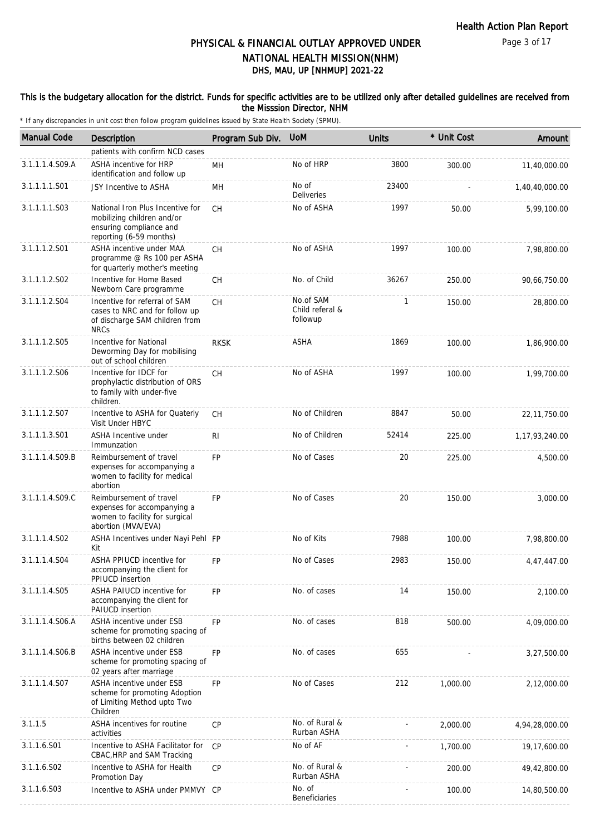#### This is the budgetary allocation for the district. Funds for specific activities are to be utilized only after detailed guidelines are received from the Misssion Director, NHM

| <b>Manual Code</b> | Description                                                                                                          | Program Sub Div. | <b>UoM</b>                               | <b>Units</b> | * Unit Cost | Amount            |
|--------------------|----------------------------------------------------------------------------------------------------------------------|------------------|------------------------------------------|--------------|-------------|-------------------|
|                    | patients with confirm NCD cases                                                                                      |                  |                                          |              |             |                   |
| 3.1.1.1.4.S09.A    | ASHA incentive for HRP<br>identification and follow up                                                               | MН               | No of HRP                                | 3800         | 300.00      | 11,40,000.00      |
| 3.1.1.1.1.S01      | JSY Incentive to ASHA                                                                                                | MH               | No of<br>Deliveries                      | 23400        |             | 1,40,40,000.00    |
| 3.1.1.1.1.S03      | National Iron Plus Incentive for<br>mobilizing children and/or<br>ensuring compliance and<br>reporting (6-59 months) | <b>CH</b>        | No of ASHA                               | 1997         | 50.00       | 5,99,100.00       |
| 3.1.1.1.2.S01      | ASHA incentive under MAA<br>programme @ Rs 100 per ASHA<br>for quarterly mother's meeting                            | <b>CH</b>        | No of ASHA                               | 1997         | 100.00      | 7,98,800.00       |
| 3.1.1.1.2.S02      | Incentive for Home Based<br>Newborn Care programme                                                                   | <b>CH</b>        | No. of Child                             | 36267        | 250.00      | 90,66,750.00      |
| 3.1.1.1.2.S04      | Incentive for referral of SAM<br>cases to NRC and for follow up<br>of discharge SAM children from<br><b>NRCs</b>     | <b>CH</b>        | No.of SAM<br>Child referal &<br>followup | 1            | 150.00      | 28,800.00         |
| 3.1.1.1.2.S05      | Incentive for National<br>Deworming Day for mobilising<br>out of school children                                     | <b>RKSK</b>      | <b>ASHA</b>                              | 1869         | 100.00      | 1,86,900.00       |
| 3.1.1.1.2.S06      | Incentive for IDCF for<br>prophylactic distribution of ORS<br>to family with under-five<br>children.                 | СH               | No of ASHA                               | 1997         | 100.00      | 1,99,700.00       |
| 3.1.1.1.2.S07      | Incentive to ASHA for Quaterly<br>Visit Under HBYC                                                                   | <b>CH</b>        | No of Children                           | 8847         | 50.00       | 22, 11, 750.00    |
| 3.1.1.1.3.S01      | <b>ASHA Incentive under</b><br>Immunzation                                                                           | RI               | No of Children                           | 52414        | 225.00      | 1, 17, 93, 240.00 |
| 3.1.1.1.4.S09.B    | Reimbursement of travel<br>expenses for accompanying a<br>women to facility for medical<br>abortion                  | <b>FP</b>        | No of Cases                              | 20           | 225.00      | 4,500.00          |
| 3.1.1.1.4.S09.C    | Reimbursement of travel<br>expenses for accompanying a<br>women to facility for surgical<br>abortion (MVA/EVA)       | <b>FP</b>        | No of Cases                              | 20           | 150.00      | 3,000.00          |
| 3.1.1.1.4.S02      | ASHA Incentives under Nayi Pehl FP<br>Kit                                                                            |                  | No of Kits                               | 7988         | 100.00      | 7,98,800.00       |
| 3.1.1.1.4.S04      | ASHA PPIUCD incentive for<br>accompanying the client for<br><b>PPIUCD</b> insertion                                  | <b>FP</b>        | No of Cases                              | 2983         | 150.00      | 4,47,447.00       |
| 3.1.1.1.4.S05      | <b>ASHA PAIUCD incentive for</b><br>accompanying the client for<br>PAIUCD insertion                                  | <b>FP</b>        | No. of cases                             | 14           | 150.00      | 2,100.00          |
| 3.1.1.1.4.S06.A    | ASHA incentive under ESB<br>scheme for promoting spacing of<br>births between 02 children                            | FP               | No. of cases                             | 818          | 500.00      | 4,09,000.00       |
| 3.1.1.1.4.S06.B    | ASHA incentive under ESB<br>scheme for promoting spacing of<br>02 years after marriage                               | FP               | No. of cases                             | 655          |             | 3,27,500.00       |
| 3.1.1.1.4.S07      | ASHA incentive under ESB<br>scheme for promoting Adoption<br>of Limiting Method upto Two<br>Children                 | <b>FP</b>        | No of Cases                              | 212          | 1,000.00    | 2,12,000.00       |
| 3.1.1.5            | ASHA incentives for routine<br>activities                                                                            | CP               | No. of Rural &<br>Rurban ASHA            |              | 2,000.00    | 4,94,28,000.00    |
| 3.1.1.6.S01        | Incentive to ASHA Facilitator for<br>CBAC, HRP and SAM Tracking                                                      | CP               | No of AF                                 |              | 1,700.00    | 19,17,600.00      |
| 3.1.1.6.S02        | Incentive to ASHA for Health<br>Promotion Day                                                                        | CP               | No. of Rural &<br>Rurban ASHA            |              | 200.00      | 49,42,800.00      |
| 3.1.1.6.S03        | Incentive to ASHA under PMMVY CP                                                                                     |                  | No. of<br><b>Beneficiaries</b>           |              | 100.00      | 14,80,500.00      |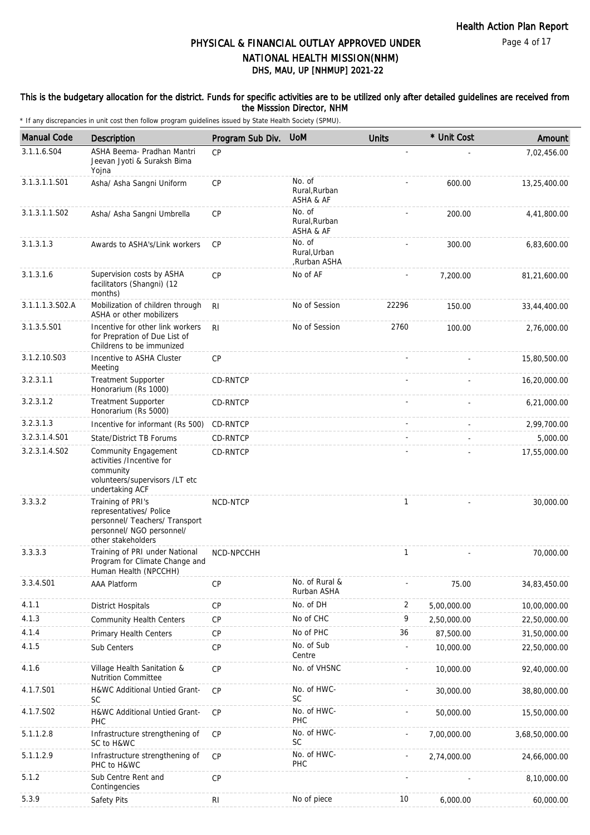#### This is the budgetary allocation for the district. Funds for specific activities are to be utilized only after detailed guidelines are received from the Misssion Director, NHM

| <b>Manual Code</b> | Description                                                                                                                       | Program Sub Div. | <b>UoM</b>                             | <b>Units</b> | * Unit Cost | Amount         |
|--------------------|-----------------------------------------------------------------------------------------------------------------------------------|------------------|----------------------------------------|--------------|-------------|----------------|
| 3.1.1.6.S04        | ASHA Beema- Pradhan Mantri<br>Jeevan Jyoti & Suraksh Bima<br>Yojna                                                                | CP               |                                        |              |             | 7,02,456.00    |
| 3.1.3.1.1.S01      | Asha/ Asha Sangni Uniform                                                                                                         | CP               | No. of<br>Rural, Rurban<br>ASHA & AF   |              | 600.00      | 13,25,400.00   |
| 3.1.3.1.1.S02      | Asha/ Asha Sangni Umbrella                                                                                                        | CP               | No. of<br>Rural, Rurban<br>ASHA & AF   |              | 200.00      | 4,41,800.00    |
| 3.1.3.1.3          | Awards to ASHA's/Link workers                                                                                                     | <b>CP</b>        | No. of<br>Rural, Urban<br>,Rurban ASHA |              | 300.00      | 6,83,600.00    |
| 3.1.3.1.6          | Supervision costs by ASHA<br>facilitators (Shangni) (12<br>months)                                                                | CP               | No of AF                               |              | 7,200.00    | 81,21,600.00   |
| 3.1.1.1.3.S02.A    | Mobilization of children through<br>ASHA or other mobilizers                                                                      | R <sub>l</sub>   | No of Session                          | 22296        | 150.00      | 33,44,400.00   |
| 3.1.3.5.S01        | Incentive for other link workers<br>for Prepration of Due List of<br>Childrens to be immunized                                    | <b>RI</b>        | No of Session                          | 2760         | 100.00      | 2,76,000.00    |
| 3.1.2.10.S03       | Incentive to ASHA Cluster<br>Meeting                                                                                              | CP               |                                        |              |             | 15,80,500.00   |
| 3.2.3.1.1          | <b>Treatment Supporter</b><br>Honorarium (Rs 1000)                                                                                | CD-RNTCP         |                                        |              |             | 16,20,000.00   |
| 3.2.3.1.2          | <b>Treatment Supporter</b><br>Honorarium (Rs 5000)                                                                                | CD-RNTCP         |                                        |              |             | 6,21,000.00    |
| 3.2.3.1.3          | Incentive for informant (Rs 500)                                                                                                  | CD-RNTCP         |                                        |              |             | 2,99,700.00    |
| 3.2.3.1.4.S01      | State/District TB Forums                                                                                                          | CD-RNTCP         |                                        |              |             | 5,000.00       |
| 3.2.3.1.4.S02      | <b>Community Engagement</b><br>activities /Incentive for<br>community<br>volunteers/supervisors /LT etc<br>undertaking ACF        | CD-RNTCP         |                                        |              |             | 17,55,000.00   |
| 3.3.3.2            | Training of PRI's<br>representatives/ Police<br>personnel/ Teachers/ Transport<br>personnel/ NGO personnel/<br>other stakeholders | NCD-NTCP         |                                        | $\mathbf{1}$ |             | 30,000.00      |
| 3.3.3.3            | Training of PRI under National<br>Program for Climate Change and<br>Human Health (NPCCHH)                                         | NCD-NPCCHH       |                                        | 1            |             | 70,000.00      |
| 3.3.4.S01          | AAA Platform                                                                                                                      | CP               | No. of Rural &<br>Rurban ASHA          |              | 75.00       | 34,83,450.00   |
| 4.1.1              | <b>District Hospitals</b>                                                                                                         | <b>CP</b>        | No. of DH                              | 2            | 5,00,000.00 | 10,00,000.00   |
| 4.1.3              | <b>Community Health Centers</b>                                                                                                   | <b>CP</b>        | No of CHC                              | 9            | 2,50,000.00 | 22,50,000.00   |
| 4.1.4              | Primary Health Centers                                                                                                            | <b>CP</b>        | No of PHC                              | 36           | 87,500.00   | 31,50,000.00   |
| 4.1.5              | Sub Centers                                                                                                                       | CP               | No. of Sub<br>Centre                   |              | 10,000.00   | 22,50,000.00   |
| 4.1.6              | Village Health Sanitation &<br>Nutrition Committee                                                                                | <b>CP</b>        | No. of VHSNC                           |              | 10,000.00   | 92,40,000.00   |
| 4.1.7.S01          | H&WC Additional Untied Grant-<br>SC                                                                                               | <b>CP</b>        | No. of HWC-<br>SC                      |              | 30,000.00   | 38,80,000.00   |
| 4.1.7.S02          | H&WC Additional Untied Grant-<br><b>PHC</b>                                                                                       | CP               | No. of HWC-<br>PHC                     |              | 50,000.00   | 15,50,000.00   |
| 5.1.1.2.8          | Infrastructure strengthening of<br>SC to H&WC                                                                                     | <b>CP</b>        | No. of HWC-<br><b>SC</b>               |              | 7,00,000.00 | 3,68,50,000.00 |
| 5.1.1.2.9          | Infrastructure strengthening of<br>PHC to H&WC                                                                                    | <b>CP</b>        | No. of HWC-<br>PHC                     |              | 2,74,000.00 | 24,66,000.00   |
| 5.1.2              | Sub Centre Rent and<br>Contingencies                                                                                              | <b>CP</b>        |                                        |              |             | 8,10,000.00    |
| 5.3.9              | Safety Pits                                                                                                                       | <b>RI</b>        | No of piece                            | 10           | 6,000.00    | 60,000.00      |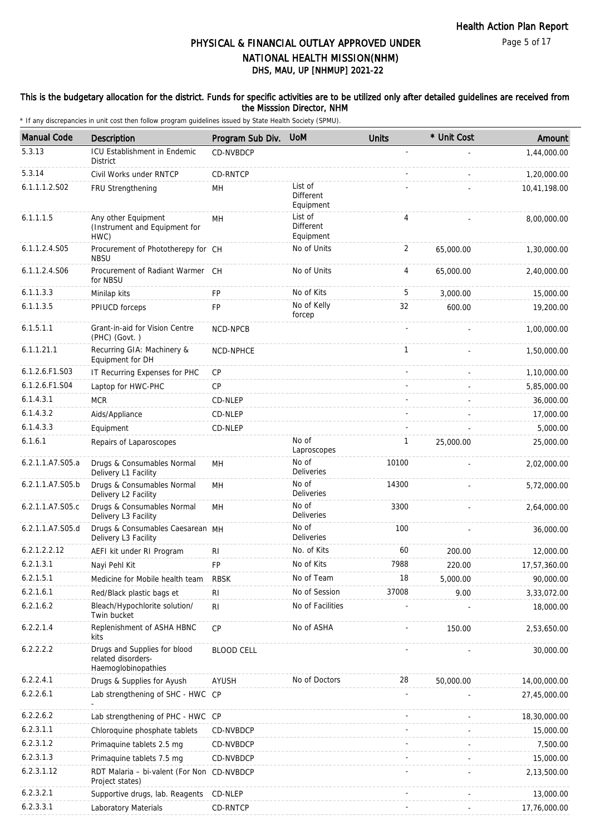#### This is the budgetary allocation for the district. Funds for specific activities are to be utilized only after detailed guidelines are received from the Misssion Director, NHM

| <b>Manual Code</b> | Description                                                               | Program Sub Div.  | <b>UoM</b>                               | <b>Units</b>   | * Unit Cost | Amount       |
|--------------------|---------------------------------------------------------------------------|-------------------|------------------------------------------|----------------|-------------|--------------|
| 5.3.13             | ICU Establishment in Endemic<br><b>District</b>                           | CD-NVBDCP         |                                          |                |             | 1,44,000.00  |
| 5.3.14             | Civil Works under RNTCP                                                   | CD-RNTCP          |                                          |                |             | 1,20,000.00  |
| 6.1.1.1.2.S02      | FRU Strengthening                                                         | MН                | List of<br><b>Different</b><br>Equipment |                |             | 10,41,198.00 |
| 6.1.1.1.5          | Any other Equipment<br>(Instrument and Equipment for<br>HWC)              | MH                | List of<br><b>Different</b><br>Equipment | 4              |             | 8,00,000.00  |
| 6.1.1.2.4.S05      | Procurement of Phototherepy for CH<br><b>NBSU</b>                         |                   | No of Units                              | $\overline{2}$ | 65,000.00   | 1,30,000.00  |
| 6.1.1.2.4.S06      | Procurement of Radiant Warmer CH<br>for NBSU                              |                   | No of Units                              | 4              | 65,000.00   | 2,40,000.00  |
| 6.1.1.3.3          | Minilap kits                                                              | <b>FP</b>         | No of Kits                               | 5              | 3,000.00    | 15,000.00    |
| 6.1.1.3.5          | PPIUCD forceps                                                            | <b>FP</b>         | No of Kelly<br>forcep                    | 32             | 600.00      | 19,200.00    |
| 6.1.5.1.1          | Grant-in-aid for Vision Centre<br>(PHC) (Govt.)                           | NCD-NPCB          |                                          |                |             | 1,00,000.00  |
| 6.1.1.21.1         | Recurring GIA: Machinery &<br>Equipment for DH                            | NCD-NPHCE         |                                          | $\mathbf{1}$   |             | 1,50,000.00  |
| 6.1.2.6.F1.S03     | IT Recurring Expenses for PHC                                             | CP                |                                          |                |             | 1,10,000.00  |
| 6.1.2.6.F1.S04     | Laptop for HWC-PHC                                                        | <b>CP</b>         |                                          |                |             | 5,85,000.00  |
| 6.1.4.3.1          | <b>MCR</b>                                                                | CD-NLEP           |                                          |                |             | 36,000.00    |
| 6.1.4.3.2          | Aids/Appliance                                                            | CD-NLEP           |                                          |                |             | 17,000.00    |
| 6.1.4.3.3          | Equipment                                                                 | CD-NLEP           |                                          |                |             | 5,000.00     |
| 6.1.6.1            | Repairs of Laparoscopes                                                   |                   | No of<br>Laproscopes                     | $\mathbf{1}$   | 25,000.00   | 25,000.00    |
| 6.2.1.1.A7.S05.a   | Drugs & Consumables Normal<br>Delivery L1 Facility                        | MH                | No of<br>Deliveries                      | 10100          |             | 2,02,000.00  |
| 6.2.1.1.A7.S05.b   | Drugs & Consumables Normal<br>Delivery L2 Facility                        | MH                | No of<br>Deliveries                      | 14300          |             | 5,72,000.00  |
| 6.2.1.1.A7.S05.c   | Drugs & Consumables Normal<br>Delivery L3 Facility                        | MH                | No of<br>Deliveries                      | 3300           |             | 2,64,000.00  |
| 6.2.1.1.A7.S05.d   | Drugs & Consumables Caesarean MH<br>Delivery L3 Facility                  |                   | No of<br>Deliveries                      | 100            |             | 36,000.00    |
| 6.2.1.2.2.12       | AEFI kit under RI Program                                                 | RI                | No. of Kits                              | 60             | 200.00      | 12,000.00    |
| 6.2.1.3.1          | Nayi Pehl Kit                                                             | FP                | No of Kits                               | 7988           | 220.00      | 17,57,360.00 |
| 6.2.1.5.1          | Medicine for Mobile health team                                           | <b>RBSK</b>       | No of Team                               | 18             | 5,000.00    | 90,000.00    |
| 6.2.1.6.1          | Red/Black plastic bags et                                                 | RI                | No of Session                            | 37008          | 9.00        | 3,33,072.00  |
| 6.2.1.6.2          | Bleach/Hypochlorite solution/<br>Twin bucket                              | R <sub>l</sub>    | No of Facilities                         |                |             | 18,000.00    |
| 6.2.2.1.4          | Replenishment of ASHA HBNC<br>kits                                        | <b>CP</b>         | No of ASHA                               |                | 150.00      | 2,53,650.00  |
| 6.2.2.2.2          | Drugs and Supplies for blood<br>related disorders-<br>Haemoglobinopathies | <b>BLOOD CELL</b> |                                          |                |             | 30,000.00    |
| 6.2.2.4.1          | Drugs & Supplies for Ayush                                                | AYUSH             | No of Doctors                            | 28             | 50,000.00   | 14,00,000.00 |
| 6.2.2.6.1          | Lab strengthening of SHC - HWC CP                                         |                   |                                          |                |             | 27,45,000.00 |
| 6.2.2.6.2          | Lab strengthening of PHC - HWC CP                                         |                   |                                          |                |             | 18,30,000.00 |
| 6.2.3.1.1          | Chloroquine phosphate tablets                                             | CD-NVBDCP         |                                          |                |             | 15,000.00    |
| 6.2.3.1.2          | Primaquine tablets 2.5 mg                                                 | CD-NVBDCP         |                                          |                |             | 7,500.00     |
| 6.2.3.1.3          | Primaquine tablets 7.5 mg                                                 | CD-NVBDCP         |                                          |                |             | 15,000.00    |
| 6.2.3.1.12         | RDT Malaria - bi-valent (For Non CD-NVBDCP<br>Project states)             |                   |                                          |                |             | 2,13,500.00  |
| 6.2.3.2.1          | Supportive drugs, lab. Reagents                                           | CD-NLEP           |                                          |                |             | 13,000.00    |
| 6.2.3.3.1          | Laboratory Materials                                                      | CD-RNTCP          |                                          |                |             | 17,76,000.00 |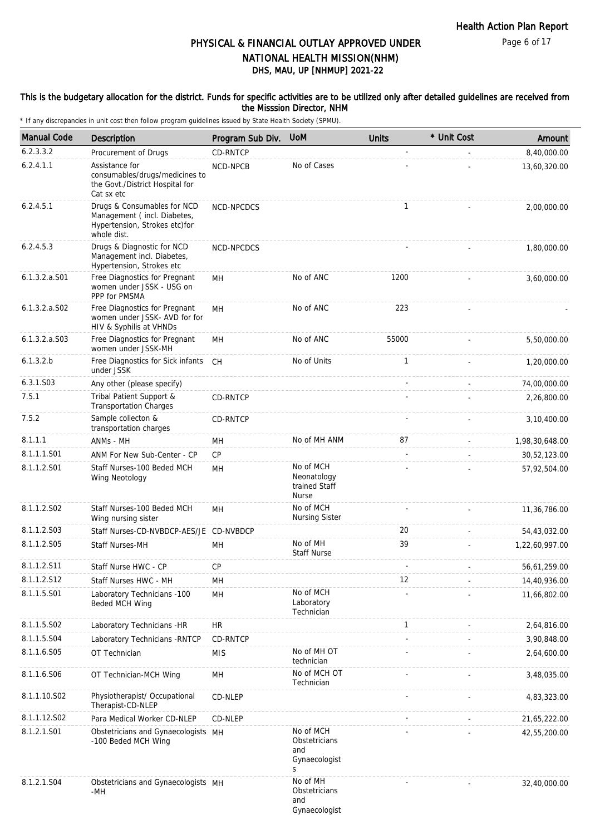Page 6 of 17

### DHS, MAU, UP [NHMUP] 2021-22 PHYSICAL & FINANCIAL OUTLAY APPROVED UNDER NATIONAL HEALTH MISSION(NHM)

#### This is the budgetary allocation for the district. Funds for specific activities are to be utilized only after detailed guidelines are received from the Misssion Director, NHM

| <b>Manual Code</b> | Description                                                                                                | Program Sub Div. | <b>UoM</b>                                                | <b>Units</b>      | * Unit Cost | Amount         |
|--------------------|------------------------------------------------------------------------------------------------------------|------------------|-----------------------------------------------------------|-------------------|-------------|----------------|
| 6.2.3.3.2          | Procurement of Drugs                                                                                       | <b>CD-RNTCP</b>  |                                                           |                   |             | 8,40,000.00    |
| 6.2.4.1.1          | Assistance for<br>consumables/drugs/medicines to<br>the Govt./District Hospital for<br>Cat sx etc          | NCD-NPCB         | No of Cases                                               |                   |             | 13,60,320.00   |
| 6.2.4.5.1          | Drugs & Consumables for NCD<br>Management (incl. Diabetes,<br>Hypertension, Strokes etc)for<br>whole dist. | NCD-NPCDCS       |                                                           | $\mathbf{1}$      |             | 2,00,000.00    |
| 6.2.4.5.3          | Drugs & Diagnostic for NCD<br>Management incl. Diabetes,<br>Hypertension, Strokes etc                      | NCD-NPCDCS       |                                                           |                   |             | 1,80,000.00    |
| $6.1.3.2.a.$ S01   | Free Diagnostics for Pregnant<br>women under JSSK - USG on<br>PPP for PMSMA                                | MН               | No of ANC                                                 | 1200              |             | 3,60,000.00    |
| $6.1.3.2.a.$ SO2   | Free Diagnostics for Pregnant<br>women under JSSK- AVD for for<br>HIV & Syphilis at VHNDs                  | MН               | No of ANC                                                 | 223               |             |                |
| 6.1.3.2.a.S03      | Free Diagnostics for Pregnant<br>women under JSSK-MH                                                       | MН               | No of ANC                                                 | 55000             |             | 5,50,000.00    |
| 6.1.3.2.b          | Free Diagnostics for Sick infants<br>under JSSK                                                            | CH               | No of Units                                               | $\mathbf{1}$      |             | 1,20,000.00    |
| 6.3.1.S03          | Any other (please specify)                                                                                 |                  |                                                           |                   |             | 74,00,000.00   |
| 7.5.1              | Tribal Patient Support &<br><b>Transportation Charges</b>                                                  | CD-RNTCP         |                                                           |                   |             | 2,26,800.00    |
| 7.5.2              | Sample collecton &<br>transportation charges                                                               | CD-RNTCP         |                                                           |                   |             | 3,10,400.00    |
| 8.1.1.1            | ANMs - MH                                                                                                  | MН               | No of MH ANM                                              | 87                |             | 1,98,30,648.00 |
| 8.1.1.1.S01        | ANM For New Sub-Center - CP                                                                                | CP               |                                                           |                   |             | 30,52,123.00   |
| 8.1.1.2.S01        | Staff Nurses-100 Beded MCH<br>Wing Neotology                                                               | MН               | No of MCH<br>Neonatology<br>trained Staff<br><b>Nurse</b> |                   |             | 57,92,504.00   |
| 8.1.1.2.S02        | Staff Nurses-100 Beded MCH<br>Wing nursing sister                                                          | <b>MH</b>        | No of MCH<br><b>Nursing Sister</b>                        |                   |             | 11,36,786.00   |
| 8.1.1.2.S03        | Staff Nurses-CD-NVBDCP-AES/JE CD-NVBDCP                                                                    |                  |                                                           | 20                |             | 54,43,032.00   |
| 8.1.1.2.S05        | <b>Staff Nurses-MH</b>                                                                                     | MН               | No of MH<br><b>Staff Nurse</b>                            | 39                |             | 1,22,60,997.00 |
| 8.1.1.2.S11        | Staff Nurse HWC - CP                                                                                       | <b>CP</b>        |                                                           |                   |             | 56,61,259.00   |
| 8.1.1.2.S12        | Staff Nurses HWC - MH                                                                                      | MН               |                                                           | $12 \overline{ }$ |             | 14,40,936.00   |
| 8.1.1.5.S01        | Laboratory Technicians -100<br>Beded MCH Wing                                                              | MH               | No of MCH<br>Laboratory<br>Technician                     |                   |             | 11,66,802.00   |
| 8.1.1.5.S02        | Laboratory Technicians -HR                                                                                 | HR               |                                                           | $\mathbf{1}$      |             | 2,64,816.00    |
| 8.1.1.5.S04        | Laboratory Technicians - RNTCP                                                                             | CD-RNTCP         |                                                           |                   |             | 3,90,848.00    |
| 8.1.1.6.S05        | OT Technician                                                                                              | <b>MIS</b>       | No of MH OT<br>technician                                 |                   |             | 2,64,600.00    |
| 8.1.1.6.S06        | OT Technician-MCH Wing                                                                                     | MH               | No of MCH OT<br>Technician                                |                   |             | 3,48,035.00    |
| 8.1.1.10.S02       | Physiotherapist/ Occupational<br>Therapist-CD-NLEP                                                         | CD-NLEP          |                                                           |                   |             | 4,83,323.00    |
| 8.1.1.12.S02       | Para Medical Worker CD-NLEP                                                                                | CD-NLEP          |                                                           |                   |             | 21,65,222.00   |
| 8.1.2.1.S01        | Obstetricians and Gynaecologists MH<br>-100 Beded MCH Wing                                                 |                  | No of MCH<br>Obstetricians<br>and<br>Gynaecologist<br>S   |                   |             | 42,55,200.00   |
| 8.1.2.1.S04        | Obstetricians and Gynaecologists MH<br>-MH                                                                 |                  | No of MH<br>Obstetricians<br>and<br>Gynaecologist         |                   |             | 32,40,000.00   |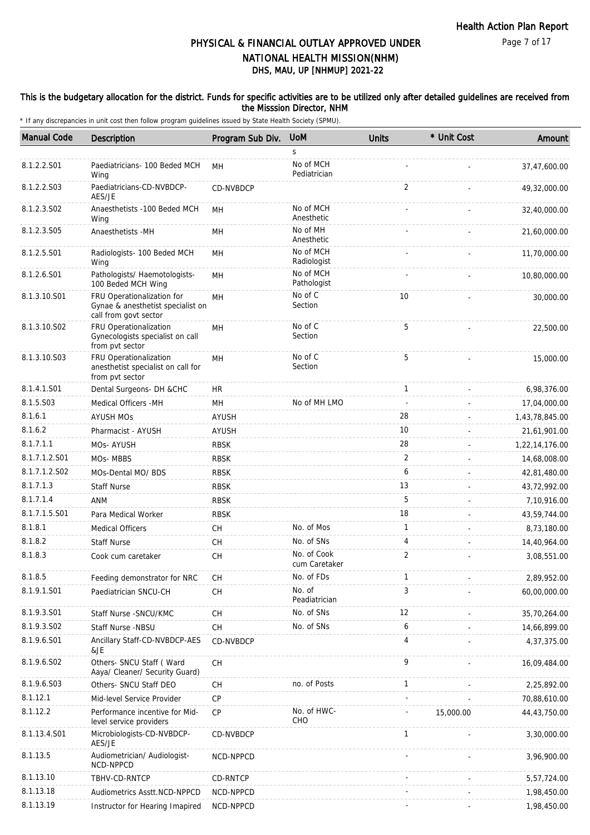### This is the budgetary allocation for the district. Funds for specific activities are to be utilized only after detailed guidelines are received from the Misssion Director, NHM

| <b>Manual Code</b> | Description                                                                              | Program Sub Div. | <b>UoM</b>                   | <b>Units</b>   | * Unit Cost | Amount         |
|--------------------|------------------------------------------------------------------------------------------|------------------|------------------------------|----------------|-------------|----------------|
|                    |                                                                                          |                  | S                            |                |             |                |
| 8.1.2.2.S01        | Paediatricians- 100 Beded MCH<br>Wing                                                    | MН               | No of MCH<br>Pediatrician    |                |             | 37,47,600.00   |
| 8.1.2.2.S03        | Paediatricians-CD-NVBDCP-<br>AES/JE                                                      | <b>CD-NVBDCP</b> |                              | $\overline{2}$ |             | 49,32,000.00   |
| 8.1.2.3.S02        | Anaesthetists -100 Beded MCH<br>Wing                                                     | <b>MH</b>        | No of MCH<br>Anesthetic      |                |             | 32,40,000.00   |
| 8.1.2.3.S05        | Anaesthetists -MH                                                                        | MН               | No of MH<br>Anesthetic       |                |             | 21,60,000.00   |
| 8.1.2.5.S01        | Radiologists- 100 Beded MCH<br>Wing                                                      | <b>MH</b>        | No of MCH<br>Radiologist     |                |             | 11,70,000.00   |
| 8.1.2.6.S01        | Pathologists/ Haemotologists-<br>100 Beded MCH Wing                                      | <b>MH</b>        | No of MCH<br>Pathologist     |                |             | 10,80,000.00   |
| 8.1.3.10.S01       | FRU Operationalization for<br>Gynae & anesthetist specialist on<br>call from govt sector | <b>MH</b>        | No of C<br>Section           | 10             |             | 30,000.00      |
| 8.1.3.10.S02       | FRU Operationalization<br>Gynecologists specialist on call<br>from pvt sector            | MH               | No of C<br>Section           | 5              |             | 22,500.00      |
| 8.1.3.10.S03       | FRU Operationalization<br>anesthetist specialist on call for<br>from pvt sector          | <b>MH</b>        | No of C<br>Section           | 5              |             | 15,000.00      |
| 8.1.4.1.S01        | Dental Surgeons- DH &CHC                                                                 | HR               |                              | $\mathbf{1}$   |             | 6,98,376.00    |
| 8.1.5.S03          | Medical Officers - MH                                                                    | <b>MH</b>        | No of MH LMO                 |                |             | 17,04,000.00   |
| 8.1.6.1            | <b>AYUSH MOS</b>                                                                         | <b>AYUSH</b>     |                              | 28             |             | 1,43,78,845.00 |
| 8.1.6.2            | Pharmacist - AYUSH                                                                       | <b>AYUSH</b>     |                              | 10             |             | 21,61,901.00   |
| 8.1.7.1.1          | MOs-AYUSH                                                                                | <b>RBSK</b>      |                              | 28             |             | 1,22,14,176.00 |
| 8.1.7.1.2.S01      | MOs-MBBS                                                                                 | <b>RBSK</b>      |                              | 2              |             | 14,68,008.00   |
| 8.1.7.1.2.S02      | MOs-Dental MO/ BDS                                                                       | <b>RBSK</b>      |                              | 6              |             | 42,81,480.00   |
| 8.1.7.1.3          | <b>Staff Nurse</b>                                                                       | <b>RBSK</b>      |                              | 13             |             | 43,72,992.00   |
| 8.1.7.1.4          | <b>ANM</b>                                                                               | <b>RBSK</b>      |                              | 5              |             | 7,10,916.00    |
| 8.1.7.1.5.S01      | Para Medical Worker                                                                      | <b>RBSK</b>      |                              | 18             |             | 43,59,744.00   |
| 8.1.8.1            | <b>Medical Officers</b>                                                                  | <b>CH</b>        | No. of Mos                   | $\mathbf{1}$   |             | 8,73,180.00    |
| 8.1.8.2            | <b>Staff Nurse</b>                                                                       | <b>CH</b>        | No. of SNs                   | 4              |             | 14,40,964.00   |
| 8.1.8.3            | Cook cum caretaker                                                                       | <b>CH</b>        | No. of Cook<br>cum Caretaker | $\overline{2}$ |             | 3,08,551.00    |
| 8.1.8.5            | Feeding demonstrator for NRC                                                             | CH               | No. of FDs                   | 1              |             | 2,89,952.00    |
| 8.1.9.1.S01        | Paediatrician SNCU-CH                                                                    | CH               | No. of<br>Peadiatrician      | 3              |             | 60,00,000.00   |
| 8.1.9.3.S01        | Staff Nurse - SNCU/KMC                                                                   | CH               | No. of SNs                   | 12             |             | 35,70,264.00   |
| 8.1.9.3.SO2        | <b>Staff Nurse -NBSU</b>                                                                 | <b>CH</b>        | No. of SNs                   | 6              |             | 14,66,899.00   |
| 8.1.9.6.S01        | Ancillary Staff-CD-NVBDCP-AES<br>&JE                                                     | CD-NVBDCP        |                              | 4              |             | 4,37,375.00    |
| 8.1.9.6.SO2        | Others- SNCU Staff (Ward<br>Aaya/ Cleaner/ Security Guard)                               | <b>CH</b>        |                              | 9              |             | 16,09,484.00   |
| 8.1.9.6.S03        | Others- SNCU Staff DEO                                                                   | <b>CH</b>        | no. of Posts                 | $\mathbf{1}$   |             | 2,25,892.00    |
| 8.1.12.1           | Mid-level Service Provider                                                               | CP               |                              |                |             | 70,88,610.00   |
| 8.1.12.2           | Performance incentive for Mid-<br>level service providers                                | <b>CP</b>        | No. of HWC-<br>CHO           |                | 15,000.00   | 44,43,750.00   |
| 8.1.13.4.S01       | Microbiologists-CD-NVBDCP-<br>AES/JE                                                     | CD-NVBDCP        |                              | $\mathbf{1}$   |             | 3,30,000.00    |
| 8.1.13.5           | Audiometrician/ Audiologist-<br>NCD-NPPCD                                                | NCD-NPPCD        |                              |                |             | 3,96,900.00    |
| 8.1.13.10          | TBHV-CD-RNTCP                                                                            | CD-RNTCP         |                              |                |             | 5,57,724.00    |
| 8.1.13.18          | Audiometrics Asstt.NCD-NPPCD                                                             | NCD-NPPCD        |                              |                |             | 1,98,450.00    |
| 8.1.13.19          | Instructor for Hearing Imapired                                                          | NCD-NPPCD        |                              |                |             | 1,98,450.00    |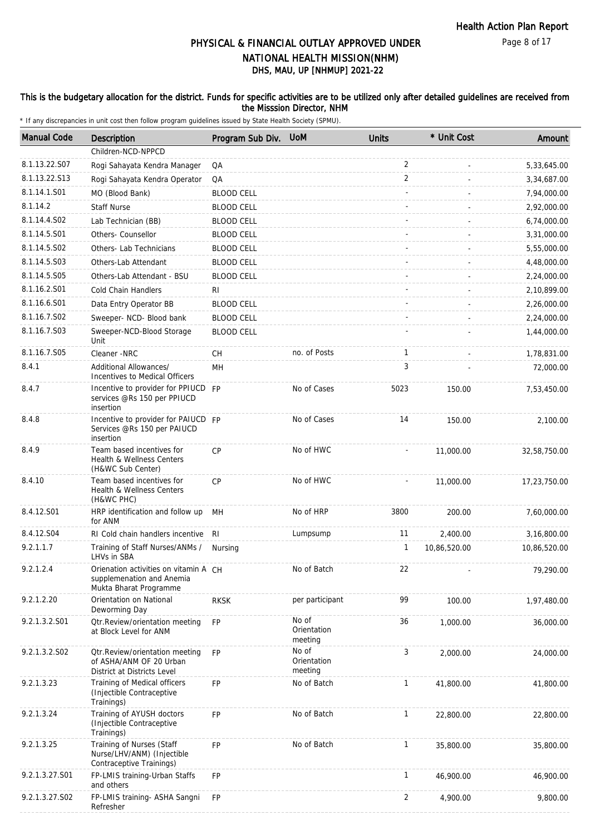#### This is the budgetary allocation for the district. Funds for specific activities are to be utilized only after detailed guidelines are received from the Misssion Director, NHM

| <b>Manual Code</b> | <b>Description</b>                                                                           | Program Sub Div.  | <b>UoM</b>                      | <b>Units</b>   | * Unit Cost  | Amount       |
|--------------------|----------------------------------------------------------------------------------------------|-------------------|---------------------------------|----------------|--------------|--------------|
|                    | Children-NCD-NPPCD                                                                           |                   |                                 |                |              |              |
| 8.1.13.22.S07      | Rogi Sahayata Kendra Manager                                                                 | QA                |                                 | 2              |              | 5,33,645.00  |
| 8.1.13.22.S13      | Rogi Sahayata Kendra Operator                                                                | QA                |                                 | $\overline{2}$ |              | 3,34,687.00  |
| 8.1.14.1.S01       | MO (Blood Bank)                                                                              | <b>BLOOD CELL</b> |                                 |                |              | 7,94,000.00  |
| 8.1.14.2           | <b>Staff Nurse</b>                                                                           | <b>BLOOD CELL</b> |                                 |                |              | 2,92,000.00  |
| 8.1.14.4.S02       | Lab Technician (BB)                                                                          | <b>BLOOD CELL</b> |                                 |                |              | 6,74,000.00  |
| 8.1.14.5.S01       | Others- Counsellor                                                                           | <b>BLOOD CELL</b> |                                 |                |              | 3,31,000.00  |
| 8.1.14.5.S02       | Others- Lab Technicians                                                                      | <b>BLOOD CELL</b> |                                 |                |              | 5,55,000.00  |
| 8.1.14.5.S03       | Others-Lab Attendant                                                                         | <b>BLOOD CELL</b> |                                 |                |              | 4,48,000.00  |
| 8.1.14.5.S05       | Others-Lab Attendant - BSU                                                                   | <b>BLOOD CELL</b> |                                 |                |              | 2,24,000.00  |
| 8.1.16.2.S01       | Cold Chain Handlers                                                                          | RI                |                                 |                |              | 2,10,899.00  |
| 8.1.16.6.S01       | Data Entry Operator BB                                                                       | <b>BLOOD CELL</b> |                                 |                |              | 2,26,000.00  |
| 8.1.16.7.S02       | Sweeper- NCD- Blood bank                                                                     | <b>BLOOD CELL</b> |                                 |                |              | 2,24,000.00  |
| 8.1.16.7.S03       | Sweeper-NCD-Blood Storage<br>Unit                                                            | <b>BLOOD CELL</b> |                                 |                |              | 1,44,000.00  |
| 8.1.16.7.S05       | Cleaner -NRC                                                                                 | СH                | no. of Posts                    | $\mathbf{1}$   |              | 1,78,831.00  |
| 8.4.1              | Additional Allowances/<br>Incentives to Medical Officers                                     | MH                |                                 | 3              |              | 72,000.00    |
| 8.4.7              | Incentive to provider for PPIUCD FP<br>services @Rs 150 per PPIUCD<br>insertion              |                   | No of Cases                     | 5023           | 150.00       | 7,53,450.00  |
| 8.4.8              | Incentive to provider for PAIUCD FP<br>Services @Rs 150 per PAIUCD<br>insertion              |                   | No of Cases                     | 14             | 150.00       | 2,100.00     |
| 8.4.9              | Team based incentives for<br>Health & Wellness Centers<br>(H&WC Sub Center)                  | <b>CP</b>         | No of HWC                       |                | 11,000.00    | 32,58,750.00 |
| 8.4.10             | Team based incentives for<br>Health & Wellness Centers<br>(H&WC PHC)                         | <b>CP</b>         | No of HWC                       |                | 11,000.00    | 17,23,750.00 |
| 8.4.12.S01         | HRP identification and follow up<br>for ANM                                                  | MH                | No of HRP                       | 3800           | 200.00       | 7,60,000.00  |
| 8.4.12.S04         | RI Cold chain handlers incentive                                                             | RI                | Lumpsump                        | 11             | 2,400.00     | 3,16,800.00  |
| 9.2.1.1.7          | Training of Staff Nurses/ANMs /<br>LHVs in SBA                                               | Nursing           |                                 | 1              | 10,86,520.00 | 10,86,520.00 |
| 9.2.1.2.4          | Orienation activities on vitamin A CH<br>supplemenation and Anemia<br>Mukta Bharat Programme |                   | No of Batch                     | 22             |              | 79,290.00    |
| 9.2.1.2.20         | Orientation on National<br>Deworming Day                                                     | <b>RKSK</b>       | per participant                 | 99             | 100.00       | 1,97,480.00  |
| 9.2.1.3.2.S01      | <b>Qtr.Review/orientation meeting</b><br>at Block Level for ANM                              | <b>FP</b>         | No of<br>Orientation<br>meeting | 36             | 1,000.00     | 36,000.00    |
| 9.2.1.3.2.S02      | Otr.Review/orientation meeting<br>of ASHA/ANM OF 20 Urban<br>District at Districts Level     | <b>FP</b>         | No of<br>Orientation<br>meeting | 3              | 2,000.00     | 24,000.00    |
| 9.2.1.3.23         | Training of Medical officers<br>(Injectible Contraceptive)<br>Trainings)                     | <b>FP</b>         | No of Batch                     | $\mathbf{1}$   | 41,800.00    | 41,800.00    |
| 9.2.1.3.24         | Training of AYUSH doctors<br>(Injectible Contraceptive<br>Trainings)                         | FP                | No of Batch                     | $\mathbf{1}$   | 22,800.00    | 22,800.00    |
| 9.2.1.3.25         | Training of Nurses (Staff<br>Nurse/LHV/ANM) (Injectible<br>Contraceptive Trainings)          | <b>FP</b>         | No of Batch                     | 1              | 35,800.00    | 35,800.00    |
| 9.2.1.3.27.S01     | FP-LMIS training-Urban Staffs<br>and others                                                  | FP                |                                 | $\mathbf{1}$   | 46,900.00    | 46,900.00    |
| 9.2.1.3.27.S02     | FP-LMIS training- ASHA Sangni<br>Refresher                                                   | FP                |                                 | 2              | 4,900.00     | 9,800.00     |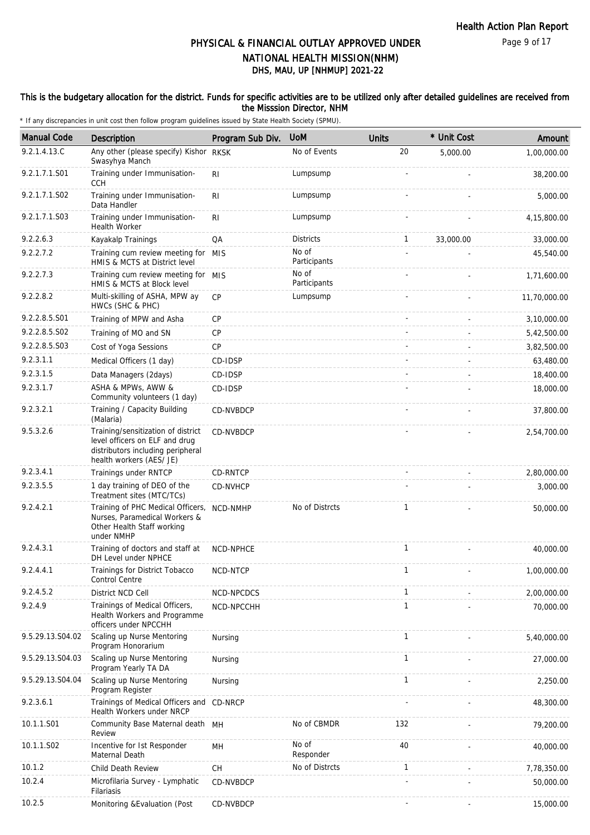#### This is the budgetary allocation for the district. Funds for specific activities are to be utilized only after detailed guidelines are received from the Misssion Director, NHM

| <b>Manual Code</b> | Description                                                                                                                           | Program Sub Div.                         | <b>UoM</b>            | <b>Units</b> | * Unit Cost | Amount       |
|--------------------|---------------------------------------------------------------------------------------------------------------------------------------|------------------------------------------|-----------------------|--------------|-------------|--------------|
| 9.2.1.4.13.C       | Any other (please specify) Kishor RKSK<br>Swasyhya Manch                                                                              |                                          | No of Events          | 20           | 5,000.00    | 1,00,000.00  |
| 9.2.1.7.1.S01      | Training under Immunisation-<br><b>CCH</b>                                                                                            | R <sub>1</sub>                           | Lumpsump              |              |             | 38,200.00    |
| 9.2.1.7.1.S02      | Training under Immunisation-<br>Data Handler                                                                                          | R <sub>1</sub>                           | Lumpsump              |              |             | 5,000.00     |
| 9.2.1.7.1.S03      | Training under Immunisation-<br><b>Health Worker</b>                                                                                  | R <sub>l</sub>                           | Lumpsump              |              |             | 4,15,800.00  |
| 9.2.2.6.3          | Kayakalp Trainings                                                                                                                    | QA                                       | <b>Districts</b>      | $\mathbf{1}$ | 33,000.00   | 33,000.00    |
| 9.2.2.7.2          | Training cum review meeting for MIS<br>HMIS & MCTS at District level                                                                  |                                          | No of<br>Participants |              |             | 45,540.00    |
| 9.2.2.7.3          | Training cum review meeting for MIS<br>HMIS & MCTS at Block level                                                                     |                                          | No of<br>Participants |              |             | 1,71,600.00  |
| 9.2.2.8.2          | Multi-skilling of ASHA, MPW ay<br>HWCs (SHC & PHC)                                                                                    | CP                                       | Lumpsump              |              |             | 11,70,000.00 |
| 9.2.2.8.5.S01      | Training of MPW and Asha                                                                                                              | CP                                       |                       |              |             | 3,10,000.00  |
| 9.2.2.8.5.S02      | Training of MO and SN                                                                                                                 | <b>CP</b>                                |                       |              |             | 5,42,500.00  |
| 9.2.2.8.5.S03      | Cost of Yoga Sessions                                                                                                                 | CP                                       |                       |              |             | 3,82,500.00  |
| 9.2.3.1.1          | Medical Officers (1 day)                                                                                                              | CD-IDSP                                  |                       |              |             | 63,480.00    |
| 9.2.3.1.5          | Data Managers (2days)                                                                                                                 | CD-IDSP                                  |                       |              |             | 18,400.00    |
| 9.2.3.1.7          | ASHA & MPWs, AWW &<br>Community volunteers (1 day)                                                                                    | CD-IDSP                                  |                       |              |             | 18,000.00    |
| 9.2.3.2.1          | Training / Capacity Building<br>(Malaria)                                                                                             | CD-NVBDCP                                |                       |              |             | 37,800.00    |
| 9.5.3.2.6          | Training/sensitization of district<br>level officers on ELF and drug<br>distributors including peripheral<br>health workers (AES/ JE) | CD-NVBDCP                                |                       |              |             | 2,54,700.00  |
| 9.2.3.4.1          | Trainings under RNTCP                                                                                                                 | <b>CD-RNTCP</b>                          |                       |              |             | 2,80,000.00  |
| 9.2.3.5.5          | 1 day training of DEO of the<br>Treatment sites (MTC/TCs)                                                                             | CD-NVHCP                                 |                       |              |             | 3,000.00     |
| 9.2.4.2.1          | Training of PHC Medical Officers,<br>Nurses, Paramedical Workers &<br>Other Health Staff working<br>under NMHP                        | NCD-NMHP                                 | No of Distrcts        | $\mathbf{1}$ |             | 50,000.00    |
| 9.2.4.3.1          | Training of doctors and staff at<br>DH Level under NPHCE                                                                              | NCD-NPHCE                                |                       | $\mathbf{1}$ |             | 40,000.00    |
| 9.2.4.4.1          | Trainings for District Tobacco<br>Control Centre                                                                                      | NCD-NTCP                                 |                       | 1            |             | 1,00,000.00  |
| 9.2.4.5.2          | District NCD Cell                                                                                                                     | NCD-NPCDCS                               |                       | 1            |             | 2,00,000.00  |
| 9.2.4.9            | Trainings of Medical Officers,<br>Health Workers and Programme<br>officers under NPCCHH                                               | NCD-NPCCHH                               |                       | $\mathbf{1}$ |             | 70,000.00    |
| 9.5.29.13.S04.02   | Scaling up Nurse Mentoring<br>Program Honorarium                                                                                      | Nursing                                  |                       | 1            |             | 5,40,000.00  |
| 9.5.29.13.S04.03   | Scaling up Nurse Mentoring<br>Program Yearly TA DA                                                                                    | Nursing                                  |                       | $\mathbf{1}$ |             | 27,000.00    |
| 9.5.29.13.S04.04   | Scaling up Nurse Mentoring<br>Program Register                                                                                        | Nursing                                  |                       | 1            |             | 2,250.00     |
| 9.2.3.6.1          | Trainings of Medical Officers and CD-NRCP<br>Health Workers under NRCP                                                                |                                          |                       |              |             | 48,300.00    |
| 10.1.1.S01         | Community Base Maternal death MH<br>Review                                                                                            |                                          | No of CBMDR           | 132          |             | 79,200.00    |
| 10.1.1.S02         | Incentive for 1st Responder<br>Maternal Death                                                                                         | MН                                       | No of<br>Responder    | 40           |             | 40,000.00    |
| 10.1.2             | Child Death Review                                                                                                                    | $\mathsf{CH}% \left( \mathcal{M}\right)$ | No of Distrcts        | $\mathbf{1}$ |             | 7,78,350.00  |
| 10.2.4             | Microfilaria Survey - Lymphatic<br>Filariasis                                                                                         | CD-NVBDCP                                |                       |              |             | 50,000.00    |
| 10.2.5             | Monitoring & Evaluation (Post                                                                                                         | CD-NVBDCP                                |                       |              |             | 15,000.00    |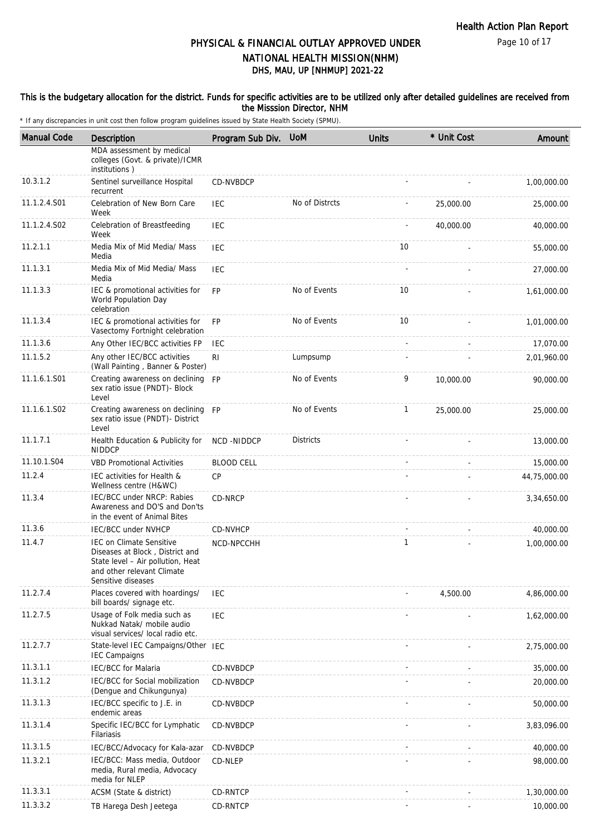#### This is the budgetary allocation for the district. Funds for specific activities are to be utilized only after detailed guidelines are received from the Misssion Director, NHM

| <b>Manual Code</b> | <b>Description</b>                                                                                                                                          | Program Sub Div. UoM |                  | <b>Units</b> | * Unit Cost | Amount       |
|--------------------|-------------------------------------------------------------------------------------------------------------------------------------------------------------|----------------------|------------------|--------------|-------------|--------------|
|                    | MDA assessment by medical<br>colleges (Govt. & private)/ICMR<br>institutions)                                                                               |                      |                  |              |             |              |
| 10.3.1.2           | Sentinel surveillance Hospital<br>recurrent                                                                                                                 | CD-NVBDCP            |                  |              |             | 1,00,000.00  |
| 11.1.2.4.S01       | Celebration of New Born Care<br>Week                                                                                                                        | IEC                  | No of Distrcts   |              | 25,000.00   | 25,000.00    |
| 11.1.2.4.S02       | Celebration of Breastfeeding<br>Week                                                                                                                        | IEC                  |                  |              | 40,000.00   | 40,000.00    |
| 11.2.1.1           | Media Mix of Mid Media/ Mass<br>Media                                                                                                                       | <b>IEC</b>           |                  | 10           |             | 55,000.00    |
| 11.1.3.1           | Media Mix of Mid Media/ Mass<br>Media                                                                                                                       | <b>IEC</b>           |                  |              |             | 27,000.00    |
| 11.1.3.3           | IEC & promotional activities for<br>World Population Day<br>celebration                                                                                     | <b>FP</b>            | No of Events     | 10           |             | 1,61,000.00  |
| 11.1.3.4           | IEC & promotional activities for<br>Vasectomy Fortnight celebration                                                                                         | <b>FP</b>            | No of Events     | 10           |             | 1,01,000.00  |
| 11.1.3.6           | Any Other IEC/BCC activities FP                                                                                                                             | <b>IEC</b>           |                  |              |             | 17,070.00    |
| 11.1.5.2           | Any other IEC/BCC activities<br>(Wall Painting, Banner & Poster)                                                                                            | RI                   | Lumpsump         |              |             | 2,01,960.00  |
| 11.1.6.1.S01       | Creating awareness on declining FP<br>sex ratio issue (PNDT)- Block<br>Level                                                                                |                      | No of Events     | 9            | 10,000.00   | 90,000.00    |
| 11.1.6.1.S02       | Creating awareness on declining FP<br>sex ratio issue (PNDT)- District<br>Level                                                                             |                      | No of Events     | $\mathbf{1}$ | 25,000.00   | 25,000.00    |
| 11.1.7.1           | Health Education & Publicity for<br><b>NIDDCP</b>                                                                                                           | NCD-NIDDCP           | <b>Districts</b> |              |             | 13,000.00    |
| 11.10.1.S04        | <b>VBD Promotional Activities</b>                                                                                                                           | <b>BLOOD CELL</b>    |                  |              |             | 15,000.00    |
| 11.2.4             | IEC activities for Health &<br>Wellness centre (H&WC)                                                                                                       | CP                   |                  |              |             | 44,75,000.00 |
| 11.3.4             | IEC/BCC under NRCP: Rabies<br>Awareness and DO'S and Don'ts<br>in the event of Animal Bites                                                                 | CD-NRCP              |                  |              |             | 3,34,650.00  |
| 11.3.6             | IEC/BCC under NVHCP                                                                                                                                         | CD-NVHCP             |                  |              |             | 40,000.00    |
| 11.4.7             | <b>IEC on Climate Sensitive</b><br>Diseases at Block, District and<br>State level - Air pollution, Heat<br>and other relevant Climate<br>Sensitive diseases | NCD-NPCCHH           |                  | $\mathbf{1}$ |             | 1,00,000.00  |
| 11.2.7.4           | Places covered with hoardings/<br>bill boards/ signage etc.                                                                                                 | <b>IEC</b>           |                  |              | 4,500.00    | 4,86,000.00  |
| 11.2.7.5           | Usage of Folk media such as<br>Nukkad Natak/ mobile audio<br>visual services/ local radio etc.                                                              | <b>IEC</b>           |                  |              |             | 1,62,000.00  |
| 11.2.7.7           | State-level IEC Campaigns/Other IEC<br><b>IEC Campaigns</b>                                                                                                 |                      |                  |              |             | 2,75,000.00  |
| 11.3.1.1           | <b>IEC/BCC</b> for Malaria                                                                                                                                  | CD-NVBDCP            |                  |              |             | 35,000.00    |
| 11.3.1.2           | <b>IEC/BCC for Social mobilization</b><br>(Dengue and Chikungunya)                                                                                          | CD-NVBDCP            |                  |              |             | 20,000.00    |
| 11.3.1.3           | IEC/BCC specific to J.E. in<br>endemic areas                                                                                                                | CD-NVBDCP            |                  |              |             | 50,000.00    |
| 11.3.1.4           | Specific IEC/BCC for Lymphatic<br>Filariasis                                                                                                                | CD-NVBDCP            |                  |              |             | 3,83,096.00  |
| 11.3.1.5           | IEC/BCC/Advocacy for Kala-azar                                                                                                                              | CD-NVBDCP            |                  |              |             | 40,000.00    |
| 11.3.2.1           | IEC/BCC: Mass media, Outdoor<br>media, Rural media, Advocacy<br>media for NLEP                                                                              | CD-NLEP              |                  |              |             | 98,000.00    |
| 11.3.3.1           | ACSM (State & district)                                                                                                                                     | CD-RNTCP             |                  |              |             | 1,30,000.00  |
| 11.3.3.2           | TB Harega Desh Jeetega                                                                                                                                      | CD-RNTCP             |                  |              |             | 10,000.00    |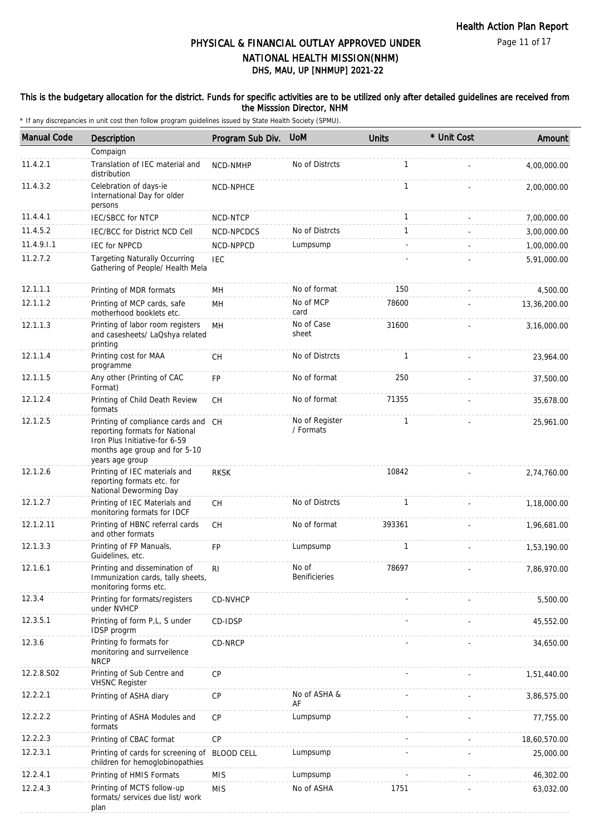#### This is the budgetary allocation for the district. Funds for specific activities are to be utilized only after detailed guidelines are received from the Misssion Director, NHM

| <b>Manual Code</b> | Description                                                                                                                                                | Program Sub Div.  | <b>UoM</b>                  | <b>Units</b> | * Unit Cost | Amount       |
|--------------------|------------------------------------------------------------------------------------------------------------------------------------------------------------|-------------------|-----------------------------|--------------|-------------|--------------|
|                    | Compaign                                                                                                                                                   |                   |                             |              |             |              |
| 11.4.2.1           | Translation of IEC material and<br>distribution                                                                                                            | NCD-NMHP          | No of Distrcts              | $\mathbf{1}$ |             | 4,00,000.00  |
| 11.4.3.2           | Celebration of days-ie<br>International Day for older<br>persons                                                                                           | NCD-NPHCE         |                             | $\mathbf{1}$ |             | 2,00,000.00  |
| 11.4.4.1           | <b>IEC/SBCC for NTCP</b>                                                                                                                                   | NCD-NTCP          |                             | $\mathbf{1}$ |             | 7,00,000.00  |
| 11.4.5.2           | IEC/BCC for District NCD Cell                                                                                                                              | NCD-NPCDCS        | No of Distrcts              | $\mathbf{1}$ |             | 3,00,000.00  |
| 11.4.9.1.1         | <b>IEC for NPPCD</b>                                                                                                                                       | NCD-NPPCD         | Lumpsump                    |              |             | 1,00,000.00  |
| 11.2.7.2           | <b>Targeting Naturally Occurring</b><br>Gathering of People/ Health Mela                                                                                   | <b>IEC</b>        |                             |              |             | 5,91,000.00  |
| 12.1.1.1           | Printing of MDR formats                                                                                                                                    | MH                | No of format                | 150          |             | 4,500.00     |
| 12.1.1.2           | Printing of MCP cards, safe<br>motherhood booklets etc.                                                                                                    | MН                | No of MCP<br>card           | 78600        |             | 13,36,200.00 |
| 12.1.1.3           | Printing of labor room registers<br>and casesheets/ LaQshya related<br>printing                                                                            | MH                | No of Case<br>sheet         | 31600        |             | 3,16,000.00  |
| 12.1.1.4           | Printing cost for MAA<br>programme                                                                                                                         | СH                | No of Distrcts              | 1            |             | 23,964.00    |
| 12.1.1.5           | Any other (Printing of CAC<br>Format)                                                                                                                      | <b>FP</b>         | No of format                | 250          |             | 37,500.00    |
| 12.1.2.4           | Printing of Child Death Review<br>formats                                                                                                                  | CH                | No of format                | 71355        |             | 35,678.00    |
| 12.1.2.5           | Printing of compliance cards and CH<br>reporting formats for National<br>Iron Plus Initiative-for 6-59<br>months age group and for 5-10<br>years age group |                   | No of Register<br>/ Formats | 1            |             | 25,961.00    |
| 12.1.2.6           | Printing of IEC materials and<br>reporting formats etc. for<br>National Deworming Day                                                                      | <b>RKSK</b>       |                             | 10842        |             | 2,74,760.00  |
| 12.1.2.7           | Printing of IEC Materials and<br>monitoring formats for IDCF                                                                                               | CH                | No of Distrcts              | $\mathbf{1}$ |             | 1,18,000.00  |
| 12.1.2.11          | Printing of HBNC referral cards<br>and other formats                                                                                                       | CH                | No of format                | 393361       |             | 1,96,681.00  |
| 12.1.3.3           | Printing of FP Manuals,<br>Guidelines, etc.                                                                                                                | <b>FP</b>         | Lumpsump                    | 1            |             | 1,53,190.00  |
| 12.1.6.1           | Printing and dissemination of<br>Immunization cards, tally sheets,<br>monitoring forms etc.                                                                | R <sub>l</sub>    | No of<br>Benificieries      | 78697        |             | 7,86,970.00  |
| 12.3.4             | Printing for formats/registers<br>under NVHCP                                                                                                              | CD-NVHCP          |                             |              |             | 5,500.00     |
| 12.3.5.1           | Printing of form P,L, S under<br>IDSP progrm                                                                                                               | CD-IDSP           |                             |              |             | 45,552.00    |
| 12.3.6             | Printing fo formats for<br>monitoring and surrveilence<br><b>NRCP</b>                                                                                      | CD-NRCP           |                             |              |             | 34,650.00    |
| 12.2.8.S02         | Printing of Sub Centre and<br><b>VHSNC Register</b>                                                                                                        | CP                |                             |              |             | 1,51,440.00  |
| 12.2.2.1           | Printing of ASHA diary                                                                                                                                     | CP                | No of ASHA &<br>AF          |              |             | 3,86,575.00  |
| 12.2.2.2           | Printing of ASHA Modules and<br>formats                                                                                                                    | CP                | Lumpsump                    |              |             | 77,755.00    |
| 12.2.2.3           | Printing of CBAC format                                                                                                                                    | CP                |                             |              |             | 18,60,570.00 |
| 12.2.3.1           | Printing of cards for screening of<br>children for hemoglobinopathies                                                                                      | <b>BLOOD CELL</b> | Lumpsump                    |              |             | 25,000.00    |
| 12.2.4.1           | Printing of HMIS Formats                                                                                                                                   | <b>MIS</b>        | Lumpsump                    |              |             | 46,302.00    |
| 12.2.4.3           | Printing of MCTS follow-up<br>formats/ services due list/ work<br>plan                                                                                     | <b>MIS</b>        | No of ASHA                  | 1751         |             | 63,032.00    |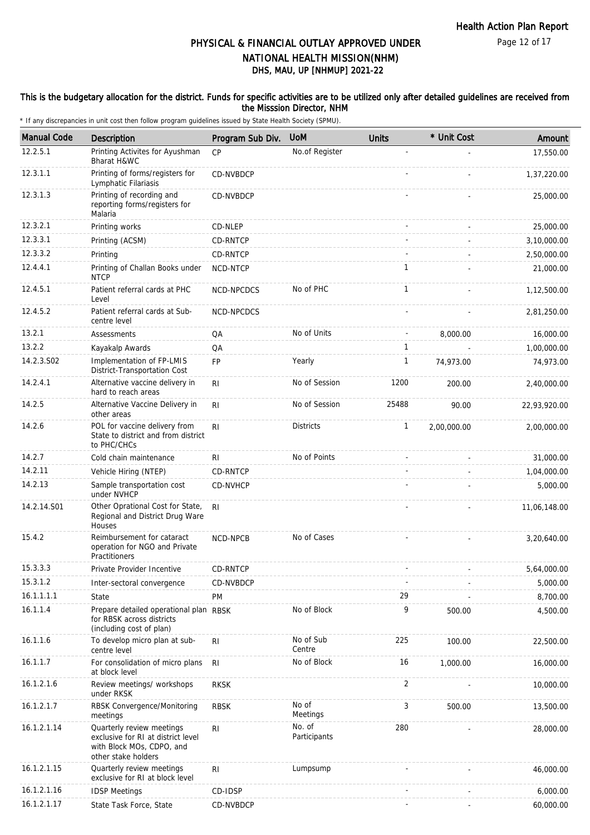#### This is the budgetary allocation for the district. Funds for specific activities are to be utilized only after detailed guidelines are received from the Misssion Director, NHM

| <b>Manual Code</b> | Description                                                                                                         | Program Sub Div. | <b>UoM</b>             | <b>Units</b> | * Unit Cost | Amount       |
|--------------------|---------------------------------------------------------------------------------------------------------------------|------------------|------------------------|--------------|-------------|--------------|
| 12.2.5.1           | Printing Activites for Ayushman<br>Bharat H&WC                                                                      | <b>CP</b>        | No.of Register         |              |             | 17,550.00    |
| 12.3.1.1           | Printing of forms/registers for<br>Lymphatic Filariasis                                                             | CD-NVBDCP        |                        |              |             | 1,37,220.00  |
| 12.3.1.3           | Printing of recording and<br>reporting forms/registers for<br>Malaria                                               | CD-NVBDCP        |                        |              |             | 25,000.00    |
| 12.3.2.1           | Printing works                                                                                                      | CD-NLEP          |                        |              |             | 25,000.00    |
| 12.3.3.1           | Printing (ACSM)                                                                                                     | <b>CD-RNTCP</b>  |                        |              |             | 3,10,000.00  |
| 12.3.3.2           | Printing                                                                                                            | CD-RNTCP         |                        |              |             | 2,50,000.00  |
| 12.4.4.1           | Printing of Challan Books under<br><b>NTCP</b>                                                                      | NCD-NTCP         |                        | 1            |             | 21,000.00    |
| 12.4.5.1           | Patient referral cards at PHC<br>Level                                                                              | NCD-NPCDCS       | No of PHC              | $\mathbf{1}$ |             | 1,12,500.00  |
| 12.4.5.2           | Patient referral cards at Sub-<br>centre level                                                                      | NCD-NPCDCS       |                        |              |             | 2,81,250.00  |
| 13.2.1             | <b>Assessments</b>                                                                                                  | QA               | No of Units            |              | 8,000.00    | 16,000.00    |
| 13.2.2             | Kayakalp Awards                                                                                                     | QA               |                        | 1            |             | 1,00,000.00  |
| 14.2.3.S02         | Implementation of FP-LMIS<br>District-Transportation Cost                                                           | FP               | Yearly                 | $\mathbf{1}$ | 74,973.00   | 74,973.00    |
| 14.2.4.1           | Alternative vaccine delivery in<br>hard to reach areas                                                              | R <sub>l</sub>   | No of Session          | 1200         | 200.00      | 2,40,000.00  |
| 14.2.5             | Alternative Vaccine Delivery in<br>other areas                                                                      | RI               | No of Session          | 25488        | 90.00       | 22,93,920.00 |
| 14.2.6             | POL for vaccine delivery from<br>State to district and from district<br>to PHC/CHCs                                 | R <sub>l</sub>   | <b>Districts</b>       | $\mathbf{1}$ | 2,00,000.00 | 2,00,000.00  |
| 14.2.7             | Cold chain maintenance                                                                                              | RI               | No of Points           |              |             | 31,000.00    |
| 14.2.11            | Vehicle Hiring (NTEP)                                                                                               | CD-RNTCP         |                        |              |             | 1,04,000.00  |
| 14.2.13            | Sample transportation cost<br>under NVHCP                                                                           | CD-NVHCP         |                        |              |             | 5,000.00     |
| 14.2.14.S01        | Other Oprational Cost for State,<br>Regional and District Drug Ware<br><b>Houses</b>                                | RI.              |                        |              |             | 11,06,148.00 |
| 15.4.2             | Reimbursement for cataract<br>operation for NGO and Private<br>Practitioners                                        | NCD-NPCB         | No of Cases            |              |             | 3,20,640.00  |
| 15.3.3.3           | Private Provider Incentive                                                                                          | CD-RNTCP         |                        |              |             | 5,64,000.00  |
| 15.3.1.2           | Inter-sectoral convergence                                                                                          | CD-NVBDCP        |                        |              |             | 5,000.00     |
| 16.1.1.1.1         | State                                                                                                               | PM               |                        | 29           |             | 8,700.00     |
| 16.1.1.4           | Prepare detailed operational plan RBSK<br>for RBSK across districts<br>(including cost of plan)                     |                  | No of Block            | 9            | 500.00      | 4,500.00     |
| 16.1.1.6           | To develop micro plan at sub-<br>centre level                                                                       | R <sub>l</sub>   | No of Sub<br>Centre    | 225          | 100.00      | 22,500.00    |
| 16.1.1.7           | For consolidation of micro plans<br>at block level                                                                  | R <sub>l</sub>   | No of Block            | 16           | 1,000.00    | 16,000.00    |
| 16.1.2.1.6         | Review meetings/ workshops<br>under RKSK                                                                            | <b>RKSK</b>      |                        | 2            |             | 10,000.00    |
| 16.1.2.1.7         | RBSK Convergence/Monitoring<br>meetings                                                                             | <b>RBSK</b>      | No of<br>Meetings      | 3            | 500.00      | 13,500.00    |
| 16.1.2.1.14        | Quarterly review meetings<br>exclusive for RI at district level<br>with Block MOs, CDPO, and<br>other stake holders | R <sub>l</sub>   | No. of<br>Participants | 280          |             | 28,000.00    |
| 16.1.2.1.15        | Quarterly review meetings<br>exclusive for RI at block level                                                        | RI               | Lumpsump               |              |             | 46,000.00    |
| 16.1.2.1.16        | <b>IDSP Meetings</b>                                                                                                | CD-IDSP          |                        |              |             | 6,000.00     |
| 16.1.2.1.17        | State Task Force, State                                                                                             | CD-NVBDCP        |                        |              |             | 60,000.00    |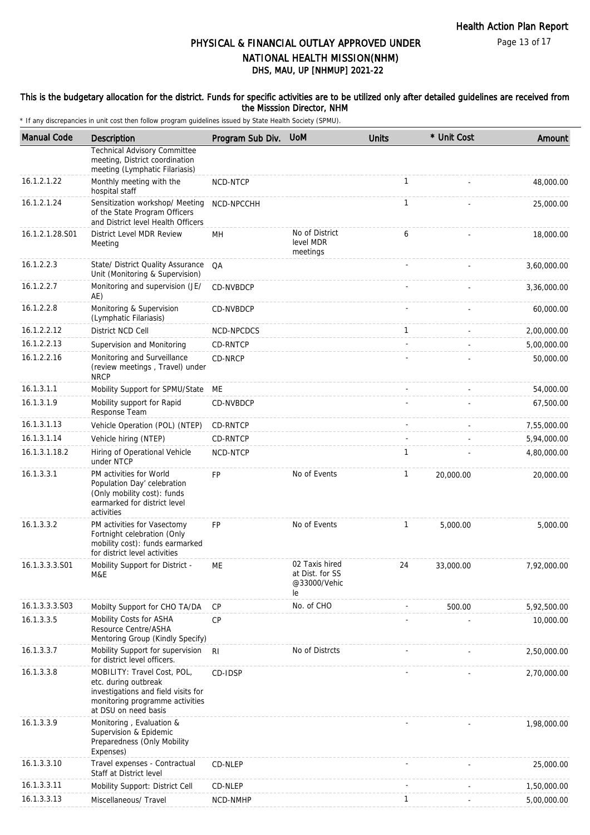Page 13 of 17

## PHYSICAL & FINANCIAL OUTLAY APPROVED UNDER NATIONAL HEALTH MISSION(NHM)

# DHS, MAU, UP [NHMUP] 2021-22

#### This is the budgetary allocation for the district. Funds for specific activities are to be utilized only after detailed guidelines are received from the Misssion Director, NHM

| <b>Manual Code</b> | Description                                                                                                                                           | Program Sub Div. | <b>UoM</b>                                              | <b>Units</b> | * Unit Cost              | Amount      |
|--------------------|-------------------------------------------------------------------------------------------------------------------------------------------------------|------------------|---------------------------------------------------------|--------------|--------------------------|-------------|
|                    | <b>Technical Advisory Committee</b><br>meeting, District coordination<br>meeting (Lymphatic Filariasis)                                               |                  |                                                         |              |                          |             |
| 16.1.2.1.22        | Monthly meeting with the<br>hospital staff                                                                                                            | NCD-NTCP         |                                                         | $\mathbf{1}$ |                          | 48,000.00   |
| 16.1.2.1.24        | Sensitization workshop/ Meeting<br>of the State Program Officers<br>and District level Health Officers                                                | NCD-NPCCHH       |                                                         | $\mathbf{1}$ |                          | 25,000.00   |
| 16.1.2.1.28.S01    | District Level MDR Review<br>Meeting                                                                                                                  | <b>MH</b>        | No of District<br>level MDR<br>meetings                 | 6            |                          | 18,000.00   |
| 16.1.2.2.3         | State/ District Quality Assurance<br>Unit (Monitoring & Supervision)                                                                                  | QA               |                                                         |              |                          | 3,60,000.00 |
| 16.1.2.2.7         | Monitoring and supervision (JE/<br>AE)                                                                                                                | CD-NVBDCP        |                                                         |              |                          | 3,36,000.00 |
| 16.1.2.2.8         | Monitoring & Supervision<br>(Lymphatic Filariasis)                                                                                                    | CD-NVBDCP        |                                                         |              |                          | 60,000.00   |
| 16.1.2.2.12        | District NCD Cell                                                                                                                                     | NCD-NPCDCS       |                                                         | $\mathbf{1}$ |                          | 2,00,000.00 |
| 16.1.2.2.13        | Supervision and Monitoring                                                                                                                            | CD-RNTCP         |                                                         |              |                          | 5,00,000.00 |
| 16.1.2.2.16        | Monitoring and Surveillance<br>(review meetings, Travel) under<br><b>NRCP</b>                                                                         | CD-NRCP          |                                                         |              |                          | 50,000.00   |
| 16.1.3.1.1         | Mobility Support for SPMU/State ME                                                                                                                    |                  |                                                         |              |                          | 54,000.00   |
| 16.1.3.1.9         | Mobility support for Rapid<br>Response Team                                                                                                           | CD-NVBDCP        |                                                         |              |                          | 67,500.00   |
| 16.1.3.1.13        | Vehicle Operation (POL) (NTEP)                                                                                                                        | <b>CD-RNTCP</b>  |                                                         |              |                          | 7,55,000.00 |
| 16.1.3.1.14        | Vehicle hiring (NTEP)                                                                                                                                 | CD-RNTCP         |                                                         |              |                          | 5,94,000.00 |
| 16.1.3.1.18.2      | Hiring of Operational Vehicle<br>under NTCP                                                                                                           | NCD-NTCP         |                                                         | $\mathbf{1}$ |                          | 4,80,000.00 |
| 16.1.3.3.1         | PM activities for World<br>Population Day' celebration<br>(Only mobility cost): funds<br>earmarked for district level<br>activities                   | <b>FP</b>        | No of Events                                            | $\mathbf{1}$ | 20,000.00                | 20,000.00   |
| 16.1.3.3.2         | PM activities for Vasectomy<br>Fortnight celebration (Only<br>mobility cost): funds earmarked<br>for district level activities                        | FP               | No of Events                                            | 1            | 5,000.00                 | 5,000.00    |
| 16.1.3.3.3.S01     | Mobility Support for District -<br>M&E                                                                                                                | ME               | 02 Taxis hired<br>at Dist. for SS<br>@33000/Vehic<br>le | 24           | 33,000.00                | 7,92,000.00 |
| 16.1.3.3.3.S03     | Mobilty Support for CHO TA/DA                                                                                                                         | CP               | No. of CHO                                              |              | 500.00                   | 5,92,500.00 |
| 16.1.3.3.5         | Mobility Costs for ASHA<br>Resource Centre/ASHA<br>Mentoring Group (Kindly Specify)                                                                   | <b>CP</b>        |                                                         |              |                          | 10,000.00   |
| 16.1.3.3.7         | Mobility Support for supervision<br>for district level officers.                                                                                      | RI               | No of Distrcts                                          |              |                          | 2,50,000.00 |
| 16.1.3.3.8         | MOBILITY: Travel Cost, POL,<br>etc. during outbreak<br>investigations and field visits for<br>monitoring programme activities<br>at DSU on need basis | CD-IDSP          |                                                         |              |                          | 2,70,000.00 |
| 16.1.3.3.9         | Monitoring, Evaluation &<br>Supervision & Epidemic<br>Preparedness (Only Mobility<br>Expenses)                                                        |                  |                                                         |              |                          | 1,98,000.00 |
| 16.1.3.3.10        | Travel expenses - Contractual<br>Staff at District level                                                                                              | CD-NLEP          |                                                         |              |                          | 25,000.00   |
| 16.1.3.3.11        | Mobility Support: District Cell                                                                                                                       | CD-NLEP          |                                                         |              |                          | 1,50,000.00 |
| 16.1.3.3.13        | Miscellaneous/ Travel                                                                                                                                 | NCD-NMHP         |                                                         | $\mathbf{1}$ | $\overline{\phantom{a}}$ | 5,00,000.00 |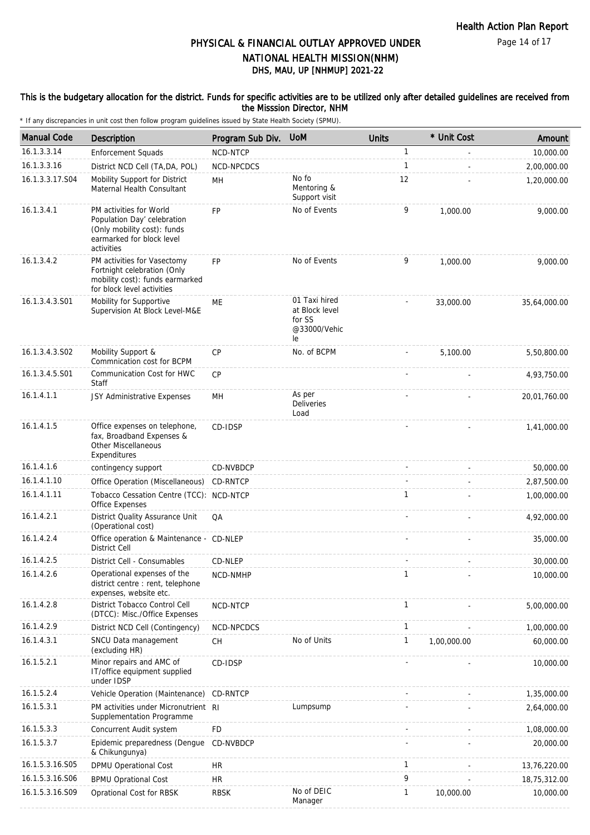Page 14 of 17

### DHS, MAU, UP [NHMUP] 2021-22 PHYSICAL & FINANCIAL OUTLAY APPROVED UNDER NATIONAL HEALTH MISSION(NHM)

### This is the budgetary allocation for the district. Funds for specific activities are to be utilized only after detailed guidelines are received from the Misssion Director, NHM

| <b>Manual Code</b> | <b>Description</b>                                                                                                               | Program Sub Div. | <b>UoM</b>                                                      | <b>Units</b> | * Unit Cost | Amount       |
|--------------------|----------------------------------------------------------------------------------------------------------------------------------|------------------|-----------------------------------------------------------------|--------------|-------------|--------------|
| 16.1.3.3.14        | <b>Enforcement Squads</b>                                                                                                        | NCD-NTCP         |                                                                 | $\mathbf{1}$ |             | 10,000.00    |
| 16.1.3.3.16        | District NCD Cell (TA, DA, POL)                                                                                                  | NCD-NPCDCS       |                                                                 | 1            |             | 2,00,000.00  |
| 16.1.3.3.17.S04    | Mobility Support for District<br>Maternal Health Consultant                                                                      | MH               | No fo<br>Mentoring &<br>Support visit                           | 12           |             | 1,20,000.00  |
| 16.1.3.4.1         | PM activities for World<br>Population Day' celebration<br>(Only mobility cost): funds<br>earmarked for block level<br>activities | FP               | No of Events                                                    | 9            | 1,000.00    | 9,000.00     |
| 16.1.3.4.2         | PM activities for Vasectomy<br>Fortnight celebration (Only<br>mobility cost): funds earmarked<br>for block level activities      | <b>FP</b>        | No of Events                                                    | 9            | 1,000.00    | 9,000.00     |
| 16.1.3.4.3.S01     | Mobility for Supportive<br>Supervision At Block Level-M&E                                                                        | ME               | 01 Taxi hired<br>at Block level<br>for SS<br>@33000/Vehic<br>le |              | 33,000.00   | 35,64,000.00 |
| 16.1.3.4.3.S02     | Mobility Support &<br>Commnication cost for BCPM                                                                                 | CP               | No. of BCPM                                                     |              | 5,100.00    | 5,50,800.00  |
| 16.1.3.4.5.S01     | Communication Cost for HWC<br>Staff                                                                                              | CP               |                                                                 |              |             | 4,93,750.00  |
| 16.1.4.1.1         | JSY Administrative Expenses                                                                                                      | MH               | As per<br>Deliveries<br>Load                                    |              |             | 20,01,760.00 |
| 16.1.4.1.5         | Office expenses on telephone,<br>fax, Broadband Expenses &<br><b>Other Miscellaneous</b><br>Expenditures                         | CD-IDSP          |                                                                 |              |             | 1,41,000.00  |
| 16.1.4.1.6         | contingency support                                                                                                              | CD-NVBDCP        |                                                                 |              |             | 50,000.00    |
| 16.1.4.1.10        | Office Operation (Miscellaneous)                                                                                                 | CD-RNTCP         |                                                                 |              |             | 2,87,500.00  |
| 16.1.4.1.11        | Tobacco Cessation Centre (TCC): NCD-NTCP<br>Office Expenses                                                                      |                  |                                                                 | $\mathbf{1}$ |             | 1,00,000.00  |
| 16.1.4.2.1         | District Quality Assurance Unit<br>(Operational cost)                                                                            | QA               |                                                                 |              |             | 4,92,000.00  |
| 16.1.4.2.4         | Office operation & Maintenance - CD-NLEP<br><b>District Cell</b>                                                                 |                  |                                                                 |              |             | 35,000.00    |
| 16.1.4.2.5         | District Cell - Consumables                                                                                                      | CD-NLEP          |                                                                 |              |             | 30,000.00    |
| 16.1.4.2.6         | Operational expenses of the<br>district centre : rent, telephone<br>expenses, website etc.                                       | NCD-NMHP         |                                                                 | $\mathbf{1}$ |             | 10,000.00    |
| 16.1.4.2.8         | District Tobacco Control Cell<br>(DTCC): Misc./Office Expenses                                                                   | NCD-NTCP         |                                                                 | $\mathbf{1}$ |             | 5,00,000.00  |
| 16.1.4.2.9         | District NCD Cell (Contingency)                                                                                                  | NCD-NPCDCS       |                                                                 | $\mathbf{1}$ |             | 1,00,000.00  |
| 16.1.4.3.1         | SNCU Data management<br>(excluding HR)                                                                                           | <b>CH</b>        | No of Units                                                     | $\mathbf{1}$ | 1,00,000.00 | 60,000.00    |
| 16.1.5.2.1         | Minor repairs and AMC of<br>IT/office equipment supplied<br>under IDSP                                                           | CD-IDSP          |                                                                 |              |             | 10,000.00    |
| 16.1.5.2.4         | Vehicle Operation (Maintenance)                                                                                                  | CD-RNTCP         |                                                                 |              |             | 1,35,000.00  |
| 16.1.5.3.1         | PM activities under Micronutrient RI<br>Supplementation Programme                                                                |                  | Lumpsump                                                        |              |             | 2,64,000.00  |
| 16.1.5.3.3         | Concurrent Audit system                                                                                                          | <b>FD</b>        |                                                                 |              |             | 1,08,000.00  |
| 16.1.5.3.7         | Epidemic preparedness (Dengue<br>& Chikungunya)                                                                                  | CD-NVBDCP        |                                                                 |              |             | 20,000.00    |
| 16.1.5.3.16.S05    | DPMU Operational Cost                                                                                                            | <b>HR</b>        |                                                                 | $\mathbf{1}$ |             | 13,76,220.00 |
| 16.1.5.3.16.S06    | <b>BPMU Oprational Cost</b>                                                                                                      | HR               |                                                                 | 9            |             | 18,75,312.00 |
| 16.1.5.3.16.S09    | Oprational Cost for RBSK                                                                                                         | <b>RBSK</b>      | No of DEIC<br>Manager                                           | $\mathbf{1}$ | 10,000.00   | 10,000.00    |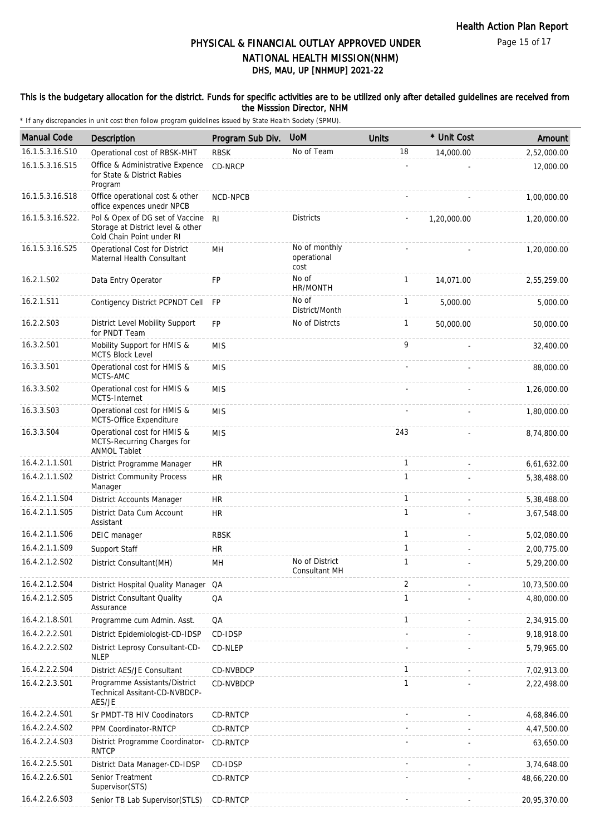#### This is the budgetary allocation for the district. Funds for specific activities are to be utilized only after detailed guidelines are received from the Misssion Director, NHM

| <b>Manual Code</b> | Description                                                                                       | Program Sub Div. | <b>UoM</b>                           | <b>Units</b> | * Unit Cost | Amount       |
|--------------------|---------------------------------------------------------------------------------------------------|------------------|--------------------------------------|--------------|-------------|--------------|
| 16.1.5.3.16.S10    | Operational cost of RBSK-MHT                                                                      | <b>RBSK</b>      | No of Team                           | 18           | 14,000.00   | 2,52,000.00  |
| 16.1.5.3.16.S15    | Office & Administrative Expence<br>for State & District Rabies<br>Program                         | CD-NRCP          |                                      |              |             | 12,000.00    |
| 16.1.5.3.16.S18    | Office operational cost & other<br>office expences unedr NPCB                                     | NCD-NPCB         |                                      |              |             | 1,00,000.00  |
| 16.1.5.3.16.S22.   | Pol & Opex of DG set of Vaccine<br>Storage at District level & other<br>Cold Chain Point under RI | R <sub>l</sub>   | <b>Districts</b>                     |              | 1,20,000.00 | 1,20,000.00  |
| 16.1.5.3.16.S25    | Operational Cost for District<br>Maternal Health Consultant                                       | MН               | No of monthly<br>operational<br>cost |              |             | 1,20,000.00  |
| 16.2.1.S02         | Data Entry Operator                                                                               | <b>FP</b>        | No of<br>HR/MONTH                    | $\mathbf{1}$ | 14,071.00   | 2,55,259.00  |
| 16.2.1.S11         | Contigency District PCPNDT Cell                                                                   | <b>FP</b>        | No of<br>District/Month              | $\mathbf{1}$ | 5,000.00    | 5,000.00     |
| 16.2.2.S03         | District Level Mobility Support<br>for PNDT Team                                                  | FP               | No of Distrcts                       | $\mathbf{1}$ | 50,000.00   | 50,000.00    |
| 16.3.2.S01         | Mobility Support for HMIS &<br><b>MCTS Block Level</b>                                            | <b>MIS</b>       |                                      | 9            |             | 32,400.00    |
| 16.3.3.S01         | Operational cost for HMIS &<br>MCTS-AMC                                                           | <b>MIS</b>       |                                      |              |             | 88,000.00    |
| 16.3.3.S02         | Operational cost for HMIS &<br>MCTS-Internet                                                      | <b>MIS</b>       |                                      |              |             | 1,26,000.00  |
| 16.3.3.S03         | Operational cost for HMIS &<br>MCTS-Office Expenditure                                            | <b>MIS</b>       |                                      |              |             | 1,80,000.00  |
| 16.3.3.S04         | Operational cost for HMIS &<br>MCTS-Recurring Charges for<br><b>ANMOL Tablet</b>                  | <b>MIS</b>       |                                      | 243          |             | 8,74,800.00  |
| 16.4.2.1.1.S01     | District Programme Manager                                                                        | HR               |                                      | $\mathbf{1}$ |             | 6,61,632.00  |
| 16.4.2.1.1.S02     | <b>District Community Process</b><br>Manager                                                      | <b>HR</b>        |                                      | $\mathbf{1}$ |             | 5,38,488.00  |
| 16.4.2.1.1.S04     | District Accounts Manager                                                                         | <b>HR</b>        |                                      | $\mathbf{1}$ |             | 5,38,488.00  |
| 16.4.2.1.1.S05     | District Data Cum Account<br>Assistant                                                            | <b>HR</b>        |                                      | $\mathbf{1}$ |             | 3,67,548.00  |
| 16.4.2.1.1.S06     | DEIC manager                                                                                      | <b>RBSK</b>      |                                      | $\mathbf{1}$ |             | 5,02,080.00  |
| 16.4.2.1.1.S09     | Support Staff                                                                                     | <b>HR</b>        |                                      | $\mathbf{1}$ |             | 2,00,775.00  |
| 16.4.2.1.2.S02     | District Consultant (MH)                                                                          | MH               | No of District<br>Consultant MH      | $\mathbf{1}$ |             | 5,29,200.00  |
| 16.4.2.1.2.S04     | District Hospital Quality Manager                                                                 | QA               |                                      | 2            |             | 10,73,500.00 |
| 16.4.2.1.2.S05     | <b>District Consultant Quality</b><br>Assurance                                                   | QA               |                                      | $\mathbf{1}$ |             | 4,80,000.00  |
| 16.4.2.1.8.S01     | Programme cum Admin. Asst.                                                                        | QA               |                                      | $\mathbf{1}$ |             | 2,34,915.00  |
| 16.4.2.2.2.S01     | District Epidemiologist-CD-IDSP                                                                   | CD-IDSP          |                                      |              |             | 9,18,918.00  |
| 16.4.2.2.2.S02     | District Leprosy Consultant-CD-<br><b>NLEP</b>                                                    | CD-NLEP          |                                      |              |             | 5,79,965.00  |
| 16.4.2.2.2.S04     | District AES/JE Consultant                                                                        | CD-NVBDCP        |                                      | $\mathbf{1}$ |             | 7,02,913.00  |
| 16.4.2.2.3.S01     | Programme Assistants/District<br>Technical Assitant-CD-NVBDCP-<br>AES/JE                          | CD-NVBDCP        |                                      | 1            |             | 2,22,498.00  |
| 16.4.2.2.4.S01     | Sr PMDT-TB HIV Coodinators                                                                        | CD-RNTCP         |                                      |              |             | 4,68,846.00  |
| 16.4.2.2.4.S02     | PPM Coordinator-RNTCP                                                                             | CD-RNTCP         |                                      |              |             | 4,47,500.00  |
| 16.4.2.2.4.S03     | District Programme Coordinator-<br><b>RNTCP</b>                                                   | CD-RNTCP         |                                      |              |             | 63,650.00    |
| 16.4.2.2.5.S01     | District Data Manager-CD-IDSP                                                                     | CD-IDSP          |                                      |              |             | 3,74,648.00  |
| 16.4.2.2.6.S01     | Senior Treatment<br>Supervisor(STS)                                                               | CD-RNTCP         |                                      |              |             | 48,66,220.00 |
| 16.4.2.2.6.S03     | Senior TB Lab Supervisor(STLS)                                                                    | CD-RNTCP         |                                      |              |             | 20,95,370.00 |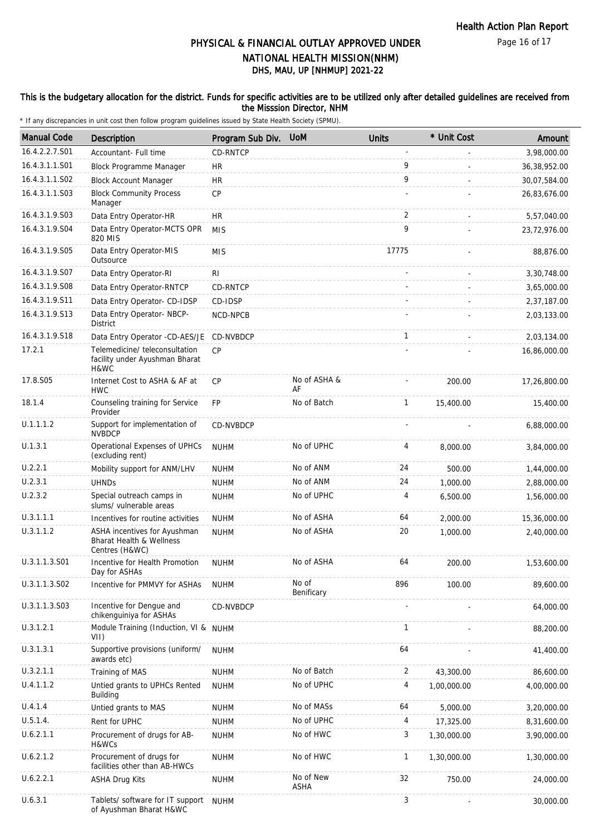### This is the budgetary allocation for the district. Funds for specific activities are to be utilized only after detailed guidelines are received from the Misssion Director, NHM

| <b>Manual Code</b> | Description                                                                           | Program Sub Div. | <b>UoM</b>          | <b>Units</b> | * Unit Cost | Amount         |
|--------------------|---------------------------------------------------------------------------------------|------------------|---------------------|--------------|-------------|----------------|
| 16.4.2.2.7.S01     | Accountant- Full time                                                                 | <b>CD-RNTCP</b>  |                     |              |             | 3,98,000.00    |
| 16.4.3.1.1.S01     | <b>Block Programme Manager</b>                                                        | HR               |                     | 9            |             | 36, 38, 952.00 |
| 16.4.3.1.1.S02     | <b>Block Account Manager</b>                                                          | <b>HR</b>        |                     | 9            |             | 30,07,584.00   |
| 16.4.3.1.1.S03     | <b>Block Community Process</b><br>Manager                                             | CP               |                     |              |             | 26,83,676.00   |
| 16.4.3.1.9.S03     | Data Entry Operator-HR                                                                | <b>HR</b>        |                     | 2            |             | 5,57,040.00    |
| 16.4.3.1.9.S04     | Data Entry Operator-MCTS OPR<br>820 MIS                                               | <b>MIS</b>       |                     | 9            |             | 23,72,976.00   |
| 16.4.3.1.9.S05     | Data Entry Operator-MIS<br>Outsource                                                  | <b>MIS</b>       |                     | 17775        |             | 88,876.00      |
| 16.4.3.1.9.S07     | Data Entry Operator-RI                                                                | RI               |                     |              |             | 3,30,748.00    |
| 16.4.3.1.9.S08     | Data Entry Operator-RNTCP                                                             | CD-RNTCP         |                     |              |             | 3,65,000.00    |
| 16.4.3.1.9.S11     | Data Entry Operator- CD-IDSP                                                          | CD-IDSP          |                     |              |             | 2,37,187.00    |
| 16.4.3.1.9.S13     | Data Entry Operator- NBCP-<br><b>District</b>                                         | NCD-NPCB         |                     |              |             | 2,03,133.00    |
| 16.4.3.1.9.S18     | Data Entry Operator -CD-AES/JE                                                        | CD-NVBDCP        |                     | $\mathbf{1}$ |             | 2,03,134.00    |
| 17.2.1             | Telemedicine/ teleconsultation<br>facility under Ayushman Bharat<br>H&WC              | <b>CP</b>        |                     |              |             | 16,86,000.00   |
| 17.8.S05           | Internet Cost to ASHA & AF at<br><b>HWC</b>                                           | <b>CP</b>        | No of ASHA &<br>AF  |              | 200.00      | 17,26,800.00   |
| 18.1.4             | Counseling training for Service<br>Provider                                           | <b>FP</b>        | No of Batch         | $\mathbf{1}$ | 15,400.00   | 15,400.00      |
| U.1.1.1.2          | Support for implementation of<br><b>NVBDCP</b>                                        | CD-NVBDCP        |                     |              |             | 6,88,000.00    |
| U.1.3.1            | Operational Expenses of UPHCs<br>(excluding rent)                                     | <b>NUHM</b>      | No of UPHC          | 4            | 8,000.00    | 3,84,000.00    |
| U.2.2.1            | Mobility support for ANM/LHV                                                          | <b>NUHM</b>      | No of ANM           | 24           | 500.00      | 1,44,000.00    |
| U.2.3.1            | <b>UHNDs</b>                                                                          | <b>NUHM</b>      | No of ANM           | 24           | 1,000.00    | 2,88,000.00    |
| U.2.3.2            | Special outreach camps in<br>slums/ vulnerable areas                                  | <b>NUHM</b>      | No of UPHC          | 4            | 6,500.00    | 1,56,000.00    |
| U.3.1.1.1          | Incentives for routine activities                                                     | <b>NUHM</b>      | No of ASHA          | 64           | 2,000.00    | 15,36,000.00   |
| U.3.1.1.2          | ASHA incentives for Ayushman<br><b>Bharat Health &amp; Wellness</b><br>Centres (H&WC) | <b>NUHM</b>      | No of ASHA          | 20           | 1.000.00    | 2,40,000.00    |
| U.3.1.1.3.S01      | Incentive for Health Promotion<br>Day for ASHAs                                       | <b>NUHM</b>      | No of ASHA          | 64           | 200.00      | 1,53,600.00    |
| U.3.1.1.3.S02      | Incentive for PMMVY for ASHAs                                                         | <b>NUHM</b>      | No of<br>Benificary | 896          | 100.00      | 89,600.00      |
| U.3.1.1.3.S03      | Incentive for Dengue and<br>chikenguiniya for ASHAs                                   | CD-NVBDCP        |                     |              |             | 64,000.00      |
| U.3.1.2.1          | Module Training (Induction, VI &<br>VII)                                              | <b>NUHM</b>      |                     | 1            |             | 88,200.00      |
| U.3.1.3.1          | Supportive provisions (uniform/<br>awards etc)                                        | <b>NUHM</b>      |                     | 64           |             | 41,400.00      |
| U.3.2.1.1          | Training of MAS                                                                       | <b>NUHM</b>      | No of Batch         | 2            | 43,300.00   | 86,600.00      |
| U.4.1.1.2          | Untied grants to UPHCs Rented<br>Building                                             | <b>NUHM</b>      | No of UPHC          | 4            | 1,00,000.00 | 4,00,000.00    |
| U.4.1.4            | Untied grants to MAS                                                                  | <b>NUHM</b>      | No of MASs          | 64           | 5,000.00    | 3,20,000.00    |
| U.5.1.4.           | Rent for UPHC                                                                         | <b>NUHM</b>      | No of UPHC          | 4            | 17,325.00   | 8,31,600.00    |
| U.6.2.1.1          | Procurement of drugs for AB-<br>H&WCs                                                 | <b>NUHM</b>      | No of HWC           | 3            | 1,30,000.00 | 3,90,000.00    |
| U.6.2.1.2          | Procurement of drugs for<br>facilities other than AB-HWCs                             | <b>NUHM</b>      | No of HWC           | 1            | 1,30,000.00 | 1,30,000.00    |
| U.6.2.2.1          | <b>ASHA Drug Kits</b>                                                                 | <b>NUHM</b>      | No of New<br>ASHA   | 32           | 750.00      | 24,000.00      |
| U.6.3.1            | Tablets/ software for IT support<br>of Ayushman Bharat H&WC                           | <b>NUHM</b>      |                     | 3            |             | 30,000.00      |